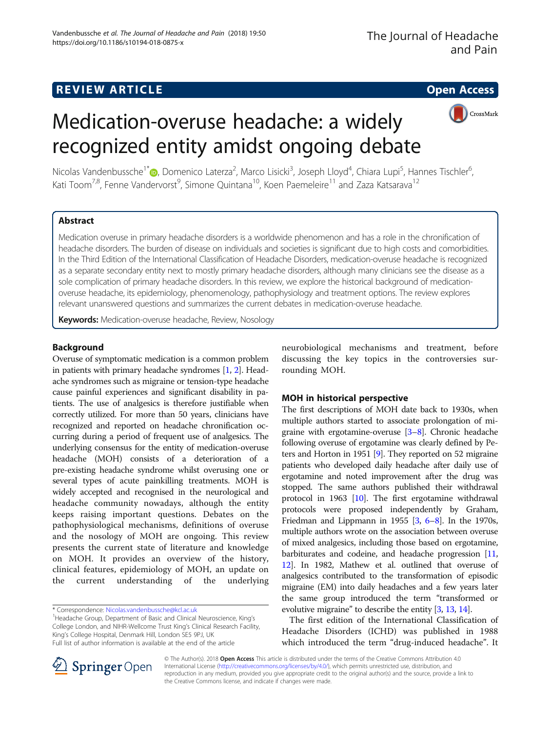## **REVIEW ARTICLE External intervention of the Contract Contract Contract Contract Contract Contract Contract Contract Contract Contract Contract Contract Contract Contract Contract Contract Contract Contract Contract Cont**

CrossMark

# Medication-overuse headache: a widely recognized entity amidst ongoing debate



## Abstract

Medication overuse in primary headache disorders is a worldwide phenomenon and has a role in the chronification of headache disorders. The burden of disease on individuals and societies is significant due to high costs and comorbidities. In the Third Edition of the International Classification of Headache Disorders, medication-overuse headache is recognized as a separate secondary entity next to mostly primary headache disorders, although many clinicians see the disease as a sole complication of primary headache disorders. In this review, we explore the historical background of medicationoveruse headache, its epidemiology, phenomenology, pathophysiology and treatment options. The review explores relevant unanswered questions and summarizes the current debates in medication-overuse headache.

Keywords: Medication-overuse headache, Review, Nosology

## Background

Overuse of symptomatic medication is a common problem in patients with primary headache syndromes [[1](#page-9-0), [2](#page-9-0)]. Headache syndromes such as migraine or tension-type headache cause painful experiences and significant disability in patients. The use of analgesics is therefore justifiable when correctly utilized. For more than 50 years, clinicians have recognized and reported on headache chronification occurring during a period of frequent use of analgesics. The underlying consensus for the entity of medication-overuse headache (MOH) consists of a deterioration of a pre-existing headache syndrome whilst overusing one or several types of acute painkilling treatments. MOH is widely accepted and recognised in the neurological and headache community nowadays, although the entity keeps raising important questions. Debates on the pathophysiological mechanisms, definitions of overuse and the nosology of MOH are ongoing. This review presents the current state of literature and knowledge on MOH. It provides an overview of the history, clinical features, epidemiology of MOH, an update on the current understanding of the underlying

<sup>1</sup>Headache Group, Department of Basic and Clinical Neuroscience, King's College London, and NIHR-Wellcome Trust King's Clinical Research Facility, King's College Hospital, Denmark Hill, London SE5 9PJ, UK Full list of author information is available at the end of the article

neurobiological mechanisms and treatment, before discussing the key topics in the controversies surrounding MOH.

## MOH in historical perspective

The first descriptions of MOH date back to 1930s, when multiple authors started to associate prolongation of migraine with ergotamine-overuse [[3](#page-9-0)–[8\]](#page-9-0). Chronic headache following overuse of ergotamine was clearly defined by Peters and Horton in 1951 [[9](#page-9-0)]. They reported on 52 migraine patients who developed daily headache after daily use of ergotamine and noted improvement after the drug was stopped. The same authors published their withdrawal protocol in 1963 [[10](#page-9-0)]. The first ergotamine withdrawal protocols were proposed independently by Graham, Friedman and Lippmann in 1955  $[3, 6-8]$  $[3, 6-8]$  $[3, 6-8]$  $[3, 6-8]$  $[3, 6-8]$  $[3, 6-8]$  $[3, 6-8]$ . In the 1970s, multiple authors wrote on the association between overuse of mixed analgesics, including those based on ergotamine, barbiturates and codeine, and headache progression [[11](#page-9-0), [12](#page-9-0)]. In 1982, Mathew et al. outlined that overuse of analgesics contributed to the transformation of episodic migraine (EM) into daily headaches and a few years later the same group introduced the term "transformed or evolutive migraine" to describe the entity [\[3](#page-9-0), [13](#page-9-0), [14](#page-9-0)].

The first edition of the International Classification of Headache Disorders (ICHD) was published in 1988 which introduced the term "drug-induced headache". It



© The Author(s). 2018 Open Access This article is distributed under the terms of the Creative Commons Attribution 4.0 International License ([http://creativecommons.org/licenses/by/4.0/\)](http://creativecommons.org/licenses/by/4.0/), which permits unrestricted use, distribution, and reproduction in any medium, provided you give appropriate credit to the original author(s) and the source, provide a link to the Creative Commons license, and indicate if changes were made.

<sup>\*</sup> Correspondence: [Nicolas.vandenbussche@kcl.ac.uk](mailto:Nicolas.vandenbussche@kcl.ac.uk) <sup>1</sup>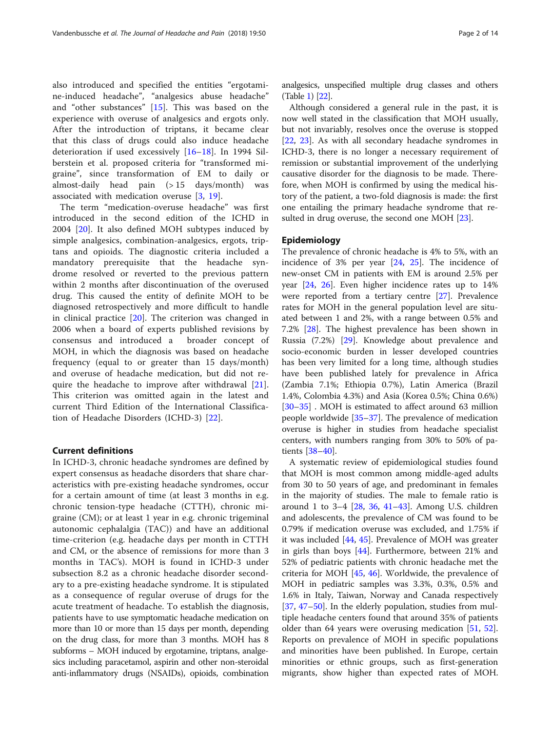also introduced and specified the entities "ergotamine-induced headache", "analgesics abuse headache" and "other substances" [[15\]](#page-9-0). This was based on the experience with overuse of analgesics and ergots only. After the introduction of triptans, it became clear that this class of drugs could also induce headache deterioration if used excessively [\[16](#page-10-0)–[18](#page-10-0)]. In 1994 Silberstein et al. proposed criteria for "transformed migraine", since transformation of EM to daily or almost-daily head pain (> 15 days/month) was associated with medication overuse [\[3](#page-9-0), [19](#page-10-0)].

The term "medication-overuse headache" was first introduced in the second edition of the ICHD in 2004 [[20\]](#page-10-0). It also defined MOH subtypes induced by simple analgesics, combination-analgesics, ergots, triptans and opioids. The diagnostic criteria included a mandatory prerequisite that the headache syndrome resolved or reverted to the previous pattern within 2 months after discontinuation of the overused drug. This caused the entity of definite MOH to be diagnosed retrospectively and more difficult to handle in clinical practice [\[20](#page-10-0)]. The criterion was changed in 2006 when a board of experts published revisions by consensus and introduced a broader concept of MOH, in which the diagnosis was based on headache frequency (equal to or greater than 15 days/month) and overuse of headache medication, but did not require the headache to improve after withdrawal [\[21](#page-10-0)]. This criterion was omitted again in the latest and current Third Edition of the International Classification of Headache Disorders (ICHD-3) [[22\]](#page-10-0).

## Current definitions

In ICHD-3, chronic headache syndromes are defined by expert consensus as headache disorders that share characteristics with pre-existing headache syndromes, occur for a certain amount of time (at least 3 months in e.g. chronic tension-type headache (CTTH), chronic migraine (CM); or at least 1 year in e.g. chronic trigeminal autonomic cephalalgia (TAC)) and have an additional time-criterion (e.g. headache days per month in CTTH and CM, or the absence of remissions for more than 3 months in TAC's). MOH is found in ICHD-3 under subsection 8.2 as a chronic headache disorder secondary to a pre-existing headache syndrome. It is stipulated as a consequence of regular overuse of drugs for the acute treatment of headache. To establish the diagnosis, patients have to use symptomatic headache medication on more than 10 or more than 15 days per month, depending on the drug class, for more than 3 months. MOH has 8 subforms – MOH induced by ergotamine, triptans, analgesics including paracetamol, aspirin and other non-steroidal anti-inflammatory drugs (NSAIDs), opioids, combination analgesics, unspecified multiple drug classes and others (Table [1](#page-2-0)) [\[22](#page-10-0)].

Although considered a general rule in the past, it is now well stated in the classification that MOH usually, but not invariably, resolves once the overuse is stopped [[22,](#page-10-0) [23](#page-10-0)]. As with all secondary headache syndromes in ICHD-3, there is no longer a necessary requirement of remission or substantial improvement of the underlying causative disorder for the diagnosis to be made. Therefore, when MOH is confirmed by using the medical history of the patient, a two-fold diagnosis is made: the first one entailing the primary headache syndrome that re-sulted in drug overuse, the second one MOH [[23](#page-10-0)].

## Epidemiology

The prevalence of chronic headache is 4% to 5%, with an incidence of 3% per year [\[24](#page-10-0), [25](#page-10-0)]. The incidence of new-onset CM in patients with EM is around 2.5% per year [\[24,](#page-10-0) [26](#page-10-0)]. Even higher incidence rates up to 14% were reported from a tertiary centre [\[27\]](#page-10-0). Prevalence rates for MOH in the general population level are situated between 1 and 2%, with a range between 0.5% and 7.2% [[28\]](#page-10-0). The highest prevalence has been shown in Russia (7.2%) [[29](#page-10-0)]. Knowledge about prevalence and socio-economic burden in lesser developed countries has been very limited for a long time, although studies have been published lately for prevalence in Africa (Zambia 7.1%; Ethiopia 0.7%), Latin America (Brazil 1.4%, Colombia 4.3%) and Asia (Korea 0.5%; China 0.6%) [[30](#page-10-0)–[35](#page-10-0)] . MOH is estimated to affect around 63 million people worldwide [\[35](#page-10-0)–[37\]](#page-10-0). The prevalence of medication overuse is higher in studies from headache specialist centers, with numbers ranging from 30% to 50% of patients [\[38](#page-10-0)–[40](#page-10-0)].

A systematic review of epidemiological studies found that MOH is most common among middle-aged adults from 30 to 50 years of age, and predominant in females in the majority of studies. The male to female ratio is around 1 to 3–4 [[28](#page-10-0), [36,](#page-10-0) [41](#page-10-0)–[43](#page-10-0)]. Among U.S. children and adolescents, the prevalence of CM was found to be 0.79% if medication overuse was excluded, and 1.75% if it was included [\[44,](#page-10-0) [45](#page-10-0)]. Prevalence of MOH was greater in girls than boys [[44\]](#page-10-0). Furthermore, between 21% and 52% of pediatric patients with chronic headache met the criteria for MOH [[45,](#page-10-0) [46\]](#page-10-0). Worldwide, the prevalence of MOH in pediatric samples was 3.3%, 0.3%, 0.5% and 1.6% in Italy, Taiwan, Norway and Canada respectively [[37,](#page-10-0) [47](#page-10-0)–[50\]](#page-10-0). In the elderly population, studies from multiple headache centers found that around 35% of patients older than 64 years were overusing medication [[51,](#page-10-0) [52](#page-10-0)]. Reports on prevalence of MOH in specific populations and minorities have been published. In Europe, certain minorities or ethnic groups, such as first-generation migrants, show higher than expected rates of MOH.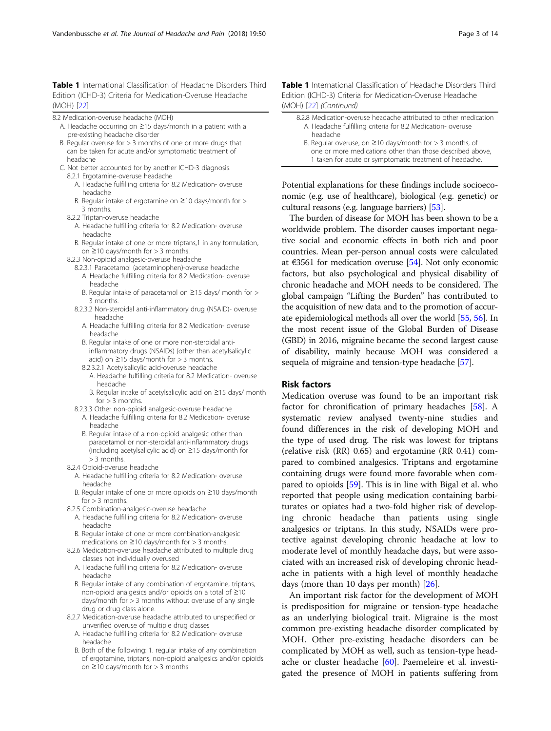<span id="page-2-0"></span>Table 1 International Classification of Headache Disorders Third Edition (ICHD-3) Criteria for Medication-Overuse Headache (MOH) [[22\]](#page-10-0)

- 8.2 Medication-overuse headache (MOH)
	- A. Headache occurring on ≥15 days/month in a patient with a pre-existing headache disorder
	- B. Regular overuse for > 3 months of one or more drugs that can be taken for acute and/or symptomatic treatment of headache
	- C. Not better accounted for by another ICHD-3 diagnosis. 8.2.1 Ergotamine-overuse headache
		- A. Headache fulfilling criteria for 8.2 Medication- overuse headache
		- B. Regular intake of ergotamine on ≥10 days/month for > 3 months.
		- 8.2.2 Triptan-overuse headache
			- A. Headache fulfilling criteria for 8.2 Medication- overuse headache
			- B. Regular intake of one or more triptans,1 in any formulation, on ≥10 days/month for > 3 months.
		- 8.2.3 Non-opioid analgesic-overuse headache
			- 8.2.3.1 Paracetamol (acetaminophen)-overuse headache
				- A. Headache fulfilling criteria for 8.2 Medication- overuse headache
				- B. Regular intake of paracetamol on ≥15 days/ month for > 3 months.
			- 8.2.3.2 Non-steroidal anti-inflammatory drug (NSAID)- overuse headache
				- A. Headache fulfilling criteria for 8.2 Medication- overuse headache
				- B. Regular intake of one or more non-steroidal antiinflammatory drugs (NSAIDs) (other than acetylsalicylic acid) on  $\geq$ 15 days/month for > 3 months.
				- 8.2.3.2.1 Acetylsalicylic acid-overuse headache
				- A. Headache fulfilling criteria for 8.2 Medication- overuse headache
				- B. Regular intake of acetylsalicylic acid on ≥15 days/ month for  $> 3$  months.
			- 8.2.3.3 Other non-opioid analgesic-overuse headache
				- A. Headache fulfilling criteria for 8.2 Medication- overuse headache
				- B. Regular intake of a non-opioid analgesic other than paracetamol or non-steroidal anti-inflammatory drugs (including acetylsalicylic acid) on ≥15 days/month for > 3 months.
		- 8.2.4 Opioid-overuse headache
			- A. Headache fulfilling criteria for 8.2 Medication- overuse headache
			- B. Regular intake of one or more opioids on ≥10 days/month  $for > 3$  months.
		- 8.2.5 Combination-analgesic-overuse headache
			- A. Headache fulfilling criteria for 8.2 Medication- overuse headache
			- B. Regular intake of one or more combination-analgesic medications on  $\geq$ 10 days/month for  $>$  3 months.
		- 8.2.6 Medication-overuse headache attributed to multiple drug classes not individually overused
		- A. Headache fulfilling criteria for 8.2 Medication- overuse headache
		- B. Regular intake of any combination of ergotamine, triptans, non-opioid analgesics and/or opioids on a total of ≥10 days/month for > 3 months without overuse of any single drug or drug class alone.
		- 8.2.7 Medication-overuse headache attributed to unspecified or unverified overuse of multiple drug classes
			- A. Headache fulfilling criteria for 8.2 Medication- overuse headache
			- B. Both of the following: 1. regular intake of any combination of ergotamine, triptans, non-opioid analgesics and/or opioids on ≥10 days/month for > 3 months

Table 1 International Classification of Headache Disorders Third Edition (ICHD-3) Criteria for Medication-Overuse Headache (MOH) [[22\]](#page-9-0) (Continued)

- 8.2.8 Medication-overuse headache attributed to other medication A. Headache fulfilling criteria for 8.2 Medication- overuse headache B. Regular overuse, on  $\geq$ 10 days/month for  $>$  3 months, of
	- one or more medications other than those described above, 1 taken for acute or symptomatic treatment of headache.

Potential explanations for these findings include socioeconomic (e.g. use of healthcare), biological (e.g. genetic) or cultural reasons (e.g. language barriers) [[53](#page-10-0)].

The burden of disease for MOH has been shown to be a worldwide problem. The disorder causes important negative social and economic effects in both rich and poor countries. Mean per-person annual costs were calculated at €3561 for medication overuse [\[54\]](#page-10-0). Not only economic factors, but also psychological and physical disability of chronic headache and MOH needs to be considered. The global campaign "Lifting the Burden" has contributed to the acquisition of new data and to the promotion of accurate epidemiological methods all over the world [\[55,](#page-10-0) [56](#page-10-0)]. In the most recent issue of the Global Burden of Disease (GBD) in 2016, migraine became the second largest cause of disability, mainly because MOH was considered a sequela of migraine and tension-type headache [\[57](#page-10-0)].

#### Risk factors

Medication overuse was found to be an important risk factor for chronification of primary headaches [[58](#page-10-0)]. A systematic review analysed twenty-nine studies and found differences in the risk of developing MOH and the type of used drug. The risk was lowest for triptans (relative risk (RR) 0.65) and ergotamine (RR 0.41) compared to combined analgesics. Triptans and ergotamine containing drugs were found more favorable when compared to opioids [[59](#page-10-0)]. This is in line with Bigal et al. who reported that people using medication containing barbiturates or opiates had a two-fold higher risk of developing chronic headache than patients using single analgesics or triptans. In this study, NSAIDs were protective against developing chronic headache at low to moderate level of monthly headache days, but were associated with an increased risk of developing chronic headache in patients with a high level of monthly headache days (more than 10 days per month) [\[26](#page-10-0)].

An important risk factor for the development of MOH is predisposition for migraine or tension-type headache as an underlying biological trait. Migraine is the most common pre-existing headache disorder complicated by MOH. Other pre-existing headache disorders can be complicated by MOH as well, such as tension-type headache or cluster headache [\[60](#page-10-0)]. Paemeleire et al. investigated the presence of MOH in patients suffering from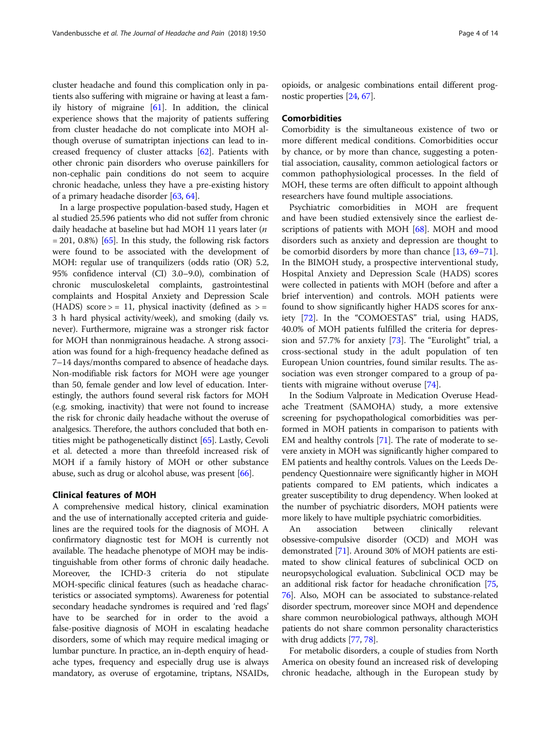cluster headache and found this complication only in patients also suffering with migraine or having at least a family history of migraine [\[61](#page-11-0)]. In addition, the clinical experience shows that the majority of patients suffering from cluster headache do not complicate into MOH although overuse of sumatriptan injections can lead to increased frequency of cluster attacks [\[62\]](#page-11-0). Patients with other chronic pain disorders who overuse painkillers for non-cephalic pain conditions do not seem to acquire chronic headache, unless they have a pre-existing history of a primary headache disorder [[63](#page-11-0), [64\]](#page-11-0).

In a large prospective population-based study, Hagen et al studied 25.596 patients who did not suffer from chronic daily headache at baseline but had MOH 11 years later (n  $= 201, 0.8\%$  [[65](#page-11-0)]. In this study, the following risk factors were found to be associated with the development of MOH: regular use of tranquilizers (odds ratio (OR) 5.2, 95% confidence interval (CI) 3.0–9.0), combination of chronic musculoskeletal complaints, gastrointestinal complaints and Hospital Anxiety and Depression Scale (HADS) score  $>$  = 11, physical inactivity (defined as  $>$  = 3 h hard physical activity/week), and smoking (daily vs. never). Furthermore, migraine was a stronger risk factor for MOH than nonmigrainous headache. A strong association was found for a high-frequency headache defined as 7–14 days/months compared to absence of headache days. Non-modifiable risk factors for MOH were age younger than 50, female gender and low level of education. Interestingly, the authors found several risk factors for MOH (e.g. smoking, inactivity) that were not found to increase the risk for chronic daily headache without the overuse of analgesics. Therefore, the authors concluded that both entities might be pathogenetically distinct [\[65\]](#page-11-0). Lastly, Cevoli et al. detected a more than threefold increased risk of MOH if a family history of MOH or other substance abuse, such as drug or alcohol abuse, was present [[66](#page-11-0)].

## Clinical features of MOH

A comprehensive medical history, clinical examination and the use of internationally accepted criteria and guidelines are the required tools for the diagnosis of MOH. A confirmatory diagnostic test for MOH is currently not available. The headache phenotype of MOH may be indistinguishable from other forms of chronic daily headache. Moreover, the ICHD-3 criteria do not stipulate MOH-specific clinical features (such as headache characteristics or associated symptoms). Awareness for potential secondary headache syndromes is required and 'red flags' have to be searched for in order to the avoid a false-positive diagnosis of MOH in escalating headache disorders, some of which may require medical imaging or lumbar puncture. In practice, an in-depth enquiry of headache types, frequency and especially drug use is always mandatory, as overuse of ergotamine, triptans, NSAIDs, opioids, or analgesic combinations entail different prognostic properties [[24](#page-10-0), [67\]](#page-11-0).

#### Comorbidities

Comorbidity is the simultaneous existence of two or more different medical conditions. Comorbidities occur by chance, or by more than chance, suggesting a potential association, causality, common aetiological factors or common pathophysiological processes. In the field of MOH, these terms are often difficult to appoint although researchers have found multiple associations.

Psychiatric comorbidities in MOH are frequent and have been studied extensively since the earliest de-scriptions of patients with MOH [[68\]](#page-11-0). MOH and mood disorders such as anxiety and depression are thought to be comorbid disorders by more than chance [[13,](#page-9-0) [69](#page-11-0)–[71](#page-11-0)]. In the BIMOH study, a prospective interventional study, Hospital Anxiety and Depression Scale (HADS) scores were collected in patients with MOH (before and after a brief intervention) and controls. MOH patients were found to show significantly higher HADS scores for anxiety [[72](#page-11-0)]. In the "COMOESTAS" trial, using HADS, 40.0% of MOH patients fulfilled the criteria for depression and 57.7% for anxiety [[73\]](#page-11-0). The "Eurolight" trial, a cross-sectional study in the adult population of ten European Union countries, found similar results. The association was even stronger compared to a group of patients with migraine without overuse [[74](#page-11-0)].

In the Sodium Valproate in Medication Overuse Headache Treatment (SAMOHA) study, a more extensive screening for psychopathological comorbidities was performed in MOH patients in comparison to patients with EM and healthy controls [\[71\]](#page-11-0). The rate of moderate to severe anxiety in MOH was significantly higher compared to EM patients and healthy controls. Values on the Leeds Dependency Questionnaire were significantly higher in MOH patients compared to EM patients, which indicates a greater susceptibility to drug dependency. When looked at the number of psychiatric disorders, MOH patients were more likely to have multiple psychiatric comorbidities.

An association between clinically relevant obsessive-compulsive disorder (OCD) and MOH was demonstrated [\[71\]](#page-11-0). Around 30% of MOH patients are estimated to show clinical features of subclinical OCD on neuropsychological evaluation. Subclinical OCD may be an additional risk factor for headache chronification [[75](#page-11-0), [76](#page-11-0)]. Also, MOH can be associated to substance-related disorder spectrum, moreover since MOH and dependence share common neurobiological pathways, although MOH patients do not share common personality characteristics with drug addicts [[77](#page-11-0), [78](#page-11-0)].

For metabolic disorders, a couple of studies from North America on obesity found an increased risk of developing chronic headache, although in the European study by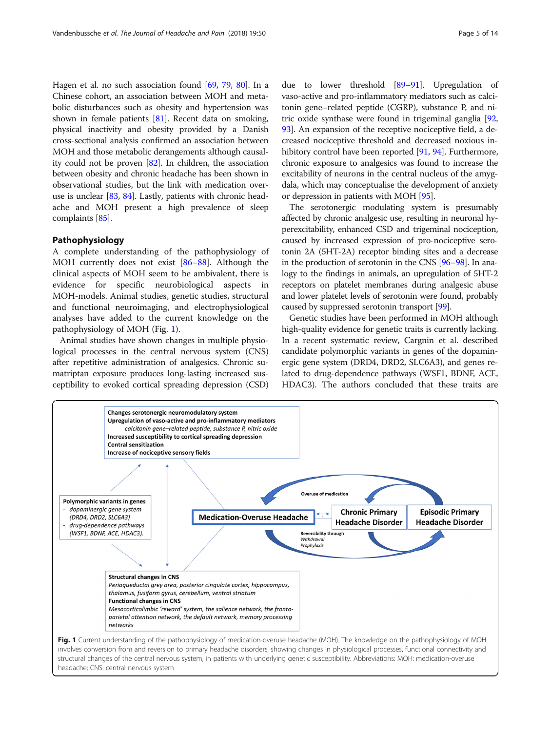Hagen et al. no such association found [\[69](#page-11-0), [79,](#page-11-0) [80\]](#page-11-0). In a Chinese cohort, an association between MOH and metabolic disturbances such as obesity and hypertension was shown in female patients [\[81\]](#page-11-0). Recent data on smoking, physical inactivity and obesity provided by a Danish cross-sectional analysis confirmed an association between MOH and those metabolic derangements although causality could not be proven [[82\]](#page-11-0). In children, the association between obesity and chronic headache has been shown in observational studies, but the link with medication overuse is unclear [\[83,](#page-11-0) [84](#page-11-0)]. Lastly, patients with chronic headache and MOH present a high prevalence of sleep complaints [\[85](#page-11-0)].

## Pathophysiology

A complete understanding of the pathophysiology of MOH currently does not exist [[86](#page-11-0)–[88\]](#page-11-0). Although the clinical aspects of MOH seem to be ambivalent, there is evidence for specific neurobiological aspects in MOH-models. Animal studies, genetic studies, structural and functional neuroimaging, and electrophysiological analyses have added to the current knowledge on the pathophysiology of MOH (Fig. 1).

Animal studies have shown changes in multiple physiological processes in the central nervous system (CNS) after repetitive administration of analgesics. Chronic sumatriptan exposure produces long-lasting increased susceptibility to evoked cortical spreading depression (CSD)

due to lower threshold [[89](#page-11-0)–[91\]](#page-11-0). Upregulation of vaso-active and pro-inflammatory mediators such as calcitonin gene–related peptide (CGRP), substance P, and nitric oxide synthase were found in trigeminal ganglia [[92](#page-11-0), [93](#page-11-0)]. An expansion of the receptive nociceptive field, a decreased nociceptive threshold and decreased noxious in-hibitory control have been reported [\[91,](#page-11-0) [94](#page-11-0)]. Furthermore, chronic exposure to analgesics was found to increase the excitability of neurons in the central nucleus of the amygdala, which may conceptualise the development of anxiety or depression in patients with MOH [[95\]](#page-11-0).

The serotonergic modulating system is presumably affected by chronic analgesic use, resulting in neuronal hyperexcitability, enhanced CSD and trigeminal nociception, caused by increased expression of pro-nociceptive serotonin 2A (5HT-2A) receptor binding sites and a decrease in the production of serotonin in the CNS [\[96](#page-11-0)–[98](#page-11-0)]. In analogy to the findings in animals, an upregulation of 5HT-2 receptors on platelet membranes during analgesic abuse and lower platelet levels of serotonin were found, probably caused by suppressed serotonin transport [[99](#page-11-0)].

Genetic studies have been performed in MOH although high-quality evidence for genetic traits is currently lacking. In a recent systematic review, Cargnin et al. described candidate polymorphic variants in genes of the dopaminergic gene system (DRD4, DRD2, SLC6A3), and genes related to drug-dependence pathways (WSF1, BDNF, ACE, HDAC3). The authors concluded that these traits are



headache; CNS: central nervous system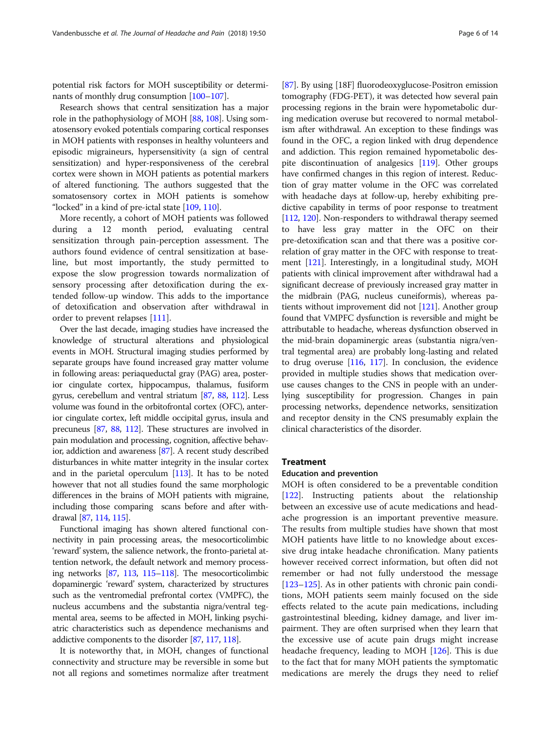potential risk factors for MOH susceptibility or determinants of monthly drug consumption [\[100](#page-11-0)–[107](#page-12-0)].

Research shows that central sensitization has a major role in the pathophysiology of MOH [\[88,](#page-11-0) [108\]](#page-12-0). Using somatosensory evoked potentials comparing cortical responses in MOH patients with responses in healthy volunteers and episodic migraineurs, hypersensitivity (a sign of central sensitization) and hyper-responsiveness of the cerebral cortex were shown in MOH patients as potential markers of altered functioning. The authors suggested that the somatosensory cortex in MOH patients is somehow "locked" in a kind of pre-ictal state [[109](#page-12-0), [110](#page-12-0)].

More recently, a cohort of MOH patients was followed during a 12 month period, evaluating central sensitization through pain-perception assessment. The authors found evidence of central sensitization at baseline, but most importantly, the study permitted to expose the slow progression towards normalization of sensory processing after detoxification during the extended follow-up window. This adds to the importance of detoxification and observation after withdrawal in order to prevent relapses [\[111\]](#page-12-0).

Over the last decade, imaging studies have increased the knowledge of structural alterations and physiological events in MOH. Structural imaging studies performed by separate groups have found increased gray matter volume in following areas: periaqueductal gray (PAG) area, posterior cingulate cortex, hippocampus, thalamus, fusiform gyrus, cerebellum and ventral striatum [\[87](#page-11-0), [88,](#page-11-0) [112\]](#page-12-0). Less volume was found in the orbitofrontal cortex (OFC), anterior cingulate cortex, left middle occipital gyrus, insula and precuneus [\[87,](#page-11-0) [88](#page-11-0), [112\]](#page-12-0). These structures are involved in pain modulation and processing, cognition, affective behavior, addiction and awareness [\[87\]](#page-11-0). A recent study described disturbances in white matter integrity in the insular cortex and in the parietal operculum [\[113](#page-12-0)]. It has to be noted however that not all studies found the same morphologic differences in the brains of MOH patients with migraine, including those comparing scans before and after withdrawal [[87](#page-11-0), [114,](#page-12-0) [115\]](#page-12-0).

Functional imaging has shown altered functional connectivity in pain processing areas, the mesocorticolimbic 'reward'system, the salience network, the fronto-parietal attention network, the default network and memory processing networks [\[87,](#page-11-0) [113,](#page-12-0) [115](#page-12-0)–[118](#page-12-0)]. The mesocorticolimbic dopaminergic 'reward' system, characterized by structures such as the ventromedial prefrontal cortex (VMPFC), the nucleus accumbens and the substantia nigra/ventral tegmental area, seems to be affected in MOH, linking psychiatric characteristics such as dependence mechanisms and addictive components to the disorder [\[87,](#page-11-0) [117,](#page-12-0) [118](#page-12-0)].

It is noteworthy that, in MOH, changes of functional connectivity and structure may be reversible in some but not all regions and sometimes normalize after treatment

[[87](#page-11-0)]. By using [18F] fluorodeoxyglucose-Positron emission tomography (FDG-PET), it was detected how several pain processing regions in the brain were hypometabolic during medication overuse but recovered to normal metabolism after withdrawal. An exception to these findings was found in the OFC, a region linked with drug dependence and addiction. This region remained hypometabolic despite discontinuation of analgesics [\[119](#page-12-0)]. Other groups have confirmed changes in this region of interest. Reduction of gray matter volume in the OFC was correlated with headache days at follow-up, hereby exhibiting predictive capability in terms of poor response to treatment [[112](#page-12-0), [120\]](#page-12-0). Non-responders to withdrawal therapy seemed to have less gray matter in the OFC on their pre-detoxification scan and that there was a positive correlation of gray matter in the OFC with response to treatment [\[121](#page-12-0)]. Interestingly, in a longitudinal study, MOH patients with clinical improvement after withdrawal had a significant decrease of previously increased gray matter in the midbrain (PAG, nucleus cuneiformis), whereas patients without improvement did not [[121](#page-12-0)]. Another group found that VMPFC dysfunction is reversible and might be attributable to headache, whereas dysfunction observed in the mid-brain dopaminergic areas (substantia nigra/ventral tegmental area) are probably long-lasting and related to drug overuse [[116](#page-12-0), [117](#page-12-0)]. In conclusion, the evidence provided in multiple studies shows that medication overuse causes changes to the CNS in people with an underlying susceptibility for progression. Changes in pain processing networks, dependence networks, sensitization and receptor density in the CNS presumably explain the clinical characteristics of the disorder.

#### Treatment

#### Education and prevention

MOH is often considered to be a preventable condition [[122\]](#page-12-0). Instructing patients about the relationship between an excessive use of acute medications and headache progression is an important preventive measure. The results from multiple studies have shown that most MOH patients have little to no knowledge about excessive drug intake headache chronification. Many patients however received correct information, but often did not remember or had not fully understood the message [[123](#page-12-0)–[125](#page-12-0)]. As in other patients with chronic pain conditions, MOH patients seem mainly focused on the side effects related to the acute pain medications, including gastrointestinal bleeding, kidney damage, and liver impairment. They are often surprised when they learn that the excessive use of acute pain drugs might increase headache frequency, leading to MOH [\[126\]](#page-12-0). This is due to the fact that for many MOH patients the symptomatic medications are merely the drugs they need to relief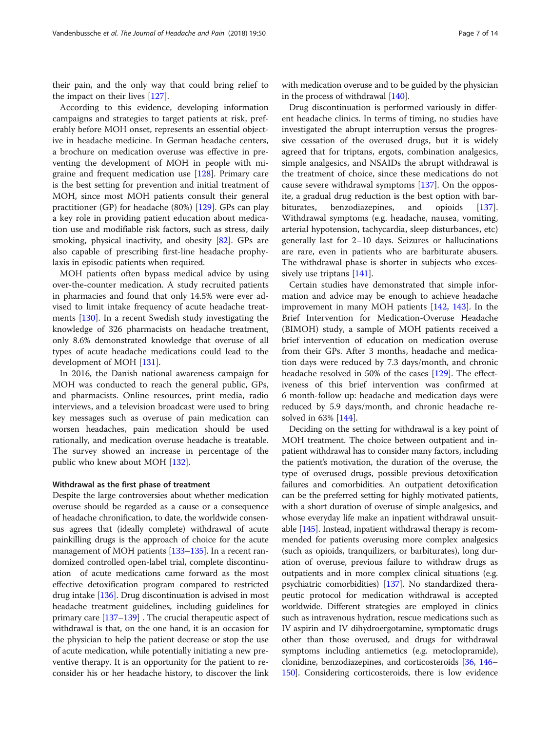their pain, and the only way that could bring relief to the impact on their lives [[127\]](#page-12-0).

According to this evidence, developing information campaigns and strategies to target patients at risk, preferably before MOH onset, represents an essential objective in headache medicine. In German headache centers, a brochure on medication overuse was effective in preventing the development of MOH in people with migraine and frequent medication use [\[128](#page-12-0)]. Primary care is the best setting for prevention and initial treatment of MOH, since most MOH patients consult their general practitioner (GP) for headache (80%) [\[129\]](#page-12-0). GPs can play a key role in providing patient education about medication use and modifiable risk factors, such as stress, daily smoking, physical inactivity, and obesity [[82\]](#page-11-0). GPs are also capable of prescribing first-line headache prophylaxis in episodic patients when required.

MOH patients often bypass medical advice by using over-the-counter medication. A study recruited patients in pharmacies and found that only 14.5% were ever advised to limit intake frequency of acute headache treatments [\[130](#page-12-0)]. In a recent Swedish study investigating the knowledge of 326 pharmacists on headache treatment, only 8.6% demonstrated knowledge that overuse of all types of acute headache medications could lead to the development of MOH [[131](#page-12-0)].

In 2016, the Danish national awareness campaign for MOH was conducted to reach the general public, GPs, and pharmacists. Online resources, print media, radio interviews, and a television broadcast were used to bring key messages such as overuse of pain medication can worsen headaches, pain medication should be used rationally, and medication overuse headache is treatable. The survey showed an increase in percentage of the public who knew about MOH [[132\]](#page-12-0).

#### Withdrawal as the first phase of treatment

Despite the large controversies about whether medication overuse should be regarded as a cause or a consequence of headache chronification, to date, the worldwide consensus agrees that (ideally complete) withdrawal of acute painkilling drugs is the approach of choice for the acute management of MOH patients [\[133](#page-12-0)–[135](#page-12-0)]. In a recent randomized controlled open-label trial, complete discontinuation of acute medications came forward as the most effective detoxification program compared to restricted drug intake [\[136\]](#page-12-0). Drug discontinuation is advised in most headache treatment guidelines, including guidelines for primary care [\[137](#page-12-0)–[139](#page-12-0)] . The crucial therapeutic aspect of withdrawal is that, on the one hand, it is an occasion for the physician to help the patient decrease or stop the use of acute medication, while potentially initiating a new preventive therapy. It is an opportunity for the patient to reconsider his or her headache history, to discover the link

with medication overuse and to be guided by the physician in the process of withdrawal [\[140\]](#page-12-0).

Drug discontinuation is performed variously in different headache clinics. In terms of timing, no studies have investigated the abrupt interruption versus the progressive cessation of the overused drugs, but it is widely agreed that for triptans, ergots, combination analgesics, simple analgesics, and NSAIDs the abrupt withdrawal is the treatment of choice, since these medications do not cause severe withdrawal symptoms [[137\]](#page-12-0). On the opposite, a gradual drug reduction is the best option with barbiturates, benzodiazepines, and opioids [[137](#page-12-0)]. Withdrawal symptoms (e.g. headache, nausea, vomiting, arterial hypotension, tachycardia, sleep disturbances, etc) generally last for 2–10 days. Seizures or hallucinations are rare, even in patients who are barbiturate abusers. The withdrawal phase is shorter in subjects who excessively use triptans [[141](#page-12-0)].

Certain studies have demonstrated that simple information and advice may be enough to achieve headache improvement in many MOH patients [[142](#page-12-0), [143\]](#page-12-0). In the Brief Intervention for Medication-Overuse Headache (BIMOH) study, a sample of MOH patients received a brief intervention of education on medication overuse from their GPs. After 3 months, headache and medication days were reduced by 7.3 days/month, and chronic headache resolved in 50% of the cases [[129\]](#page-12-0). The effectiveness of this brief intervention was confirmed at 6 month-follow up: headache and medication days were reduced by 5.9 days/month, and chronic headache resolved in 63% [[144\]](#page-12-0).

Deciding on the setting for withdrawal is a key point of MOH treatment. The choice between outpatient and inpatient withdrawal has to consider many factors, including the patient's motivation, the duration of the overuse, the type of overused drugs, possible previous detoxification failures and comorbidities. An outpatient detoxification can be the preferred setting for highly motivated patients, with a short duration of overuse of simple analgesics, and whose everyday life make an inpatient withdrawal unsuitable [[145](#page-12-0)]. Instead, inpatient withdrawal therapy is recommended for patients overusing more complex analgesics (such as opioids, tranquilizers, or barbiturates), long duration of overuse, previous failure to withdraw drugs as outpatients and in more complex clinical situations (e.g. psychiatric comorbidities) [[137](#page-12-0)]. No standardized therapeutic protocol for medication withdrawal is accepted worldwide. Different strategies are employed in clinics such as intravenous hydration, rescue medications such as IV aspirin and IV dihydroergotamine, symptomatic drugs other than those overused, and drugs for withdrawal symptoms including antiemetics (e.g. metoclopramide), clonidine, benzodiazepines, and corticosteroids [[36](#page-10-0), [146](#page-13-0)– [150](#page-13-0)]. Considering corticosteroids, there is low evidence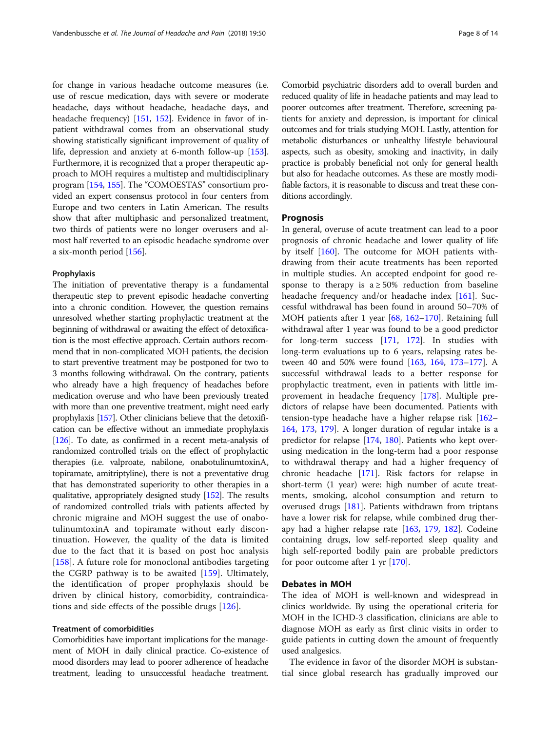for change in various headache outcome measures (i.e. use of rescue medication, days with severe or moderate headache, days without headache, headache days, and headache frequency) [\[151,](#page-13-0) [152](#page-13-0)]. Evidence in favor of inpatient withdrawal comes from an observational study showing statistically significant improvement of quality of life, depression and anxiety at 6-month follow-up [[153](#page-13-0)]. Furthermore, it is recognized that a proper therapeutic approach to MOH requires a multistep and multidisciplinary program [[154](#page-13-0), [155](#page-13-0)]. The "COMOESTAS" consortium provided an expert consensus protocol in four centers from Europe and two centers in Latin American. The results show that after multiphasic and personalized treatment, two thirds of patients were no longer overusers and almost half reverted to an episodic headache syndrome over a six-month period [[156](#page-13-0)].

#### Prophylaxis

The initiation of preventative therapy is a fundamental therapeutic step to prevent episodic headache converting into a chronic condition. However, the question remains unresolved whether starting prophylactic treatment at the beginning of withdrawal or awaiting the effect of detoxification is the most effective approach. Certain authors recommend that in non-complicated MOH patients, the decision to start preventive treatment may be postponed for two to 3 months following withdrawal. On the contrary, patients who already have a high frequency of headaches before medication overuse and who have been previously treated with more than one preventive treatment, might need early prophylaxis [[157\]](#page-13-0). Other clinicians believe that the detoxification can be effective without an immediate prophylaxis [[126\]](#page-12-0). To date, as confirmed in a recent meta-analysis of randomized controlled trials on the effect of prophylactic therapies (i.e. valproate, nabilone, onabotulinumtoxinA, topiramate, amitriptyline), there is not a preventative drug that has demonstrated superiority to other therapies in a qualitative, appropriately designed study [\[152](#page-13-0)]. The results of randomized controlled trials with patients affected by chronic migraine and MOH suggest the use of onabotulinumtoxinA and topiramate without early discontinuation. However, the quality of the data is limited due to the fact that it is based on post hoc analysis [[158\]](#page-13-0). A future role for monoclonal antibodies targeting the CGRP pathway is to be awaited [\[159](#page-13-0)]. Ultimately, the identification of proper prophylaxis should be driven by clinical history, comorbidity, contraindications and side effects of the possible drugs [[126](#page-12-0)].

### Treatment of comorbidities

Comorbidities have important implications for the management of MOH in daily clinical practice. Co-existence of mood disorders may lead to poorer adherence of headache treatment, leading to unsuccessful headache treatment.

Comorbid psychiatric disorders add to overall burden and reduced quality of life in headache patients and may lead to poorer outcomes after treatment. Therefore, screening patients for anxiety and depression, is important for clinical outcomes and for trials studying MOH. Lastly, attention for metabolic disturbances or unhealthy lifestyle behavioural aspects, such as obesity, smoking and inactivity, in daily practice is probably beneficial not only for general health but also for headache outcomes. As these are mostly modifiable factors, it is reasonable to discuss and treat these conditions accordingly.

## Prognosis

In general, overuse of acute treatment can lead to a poor prognosis of chronic headache and lower quality of life by itself [[160\]](#page-13-0). The outcome for MOH patients withdrawing from their acute treatments has been reported in multiple studies. An accepted endpoint for good response to therapy is  $a \ge 50\%$  reduction from baseline headache frequency and/or headache index [[161\]](#page-13-0). Successful withdrawal has been found in around 50–70% of MOH patients after 1 year [[68,](#page-11-0) [162](#page-13-0)–[170\]](#page-13-0). Retaining full withdrawal after 1 year was found to be a good predictor for long-term success [\[171](#page-13-0), [172](#page-13-0)]. In studies with long-term evaluations up to 6 years, relapsing rates between 40 and 50% were found [[163](#page-13-0), [164,](#page-13-0) [173](#page-13-0)–[177\]](#page-13-0). A successful withdrawal leads to a better response for prophylactic treatment, even in patients with little improvement in headache frequency [\[178\]](#page-13-0). Multiple predictors of relapse have been documented. Patients with tension-type headache have a higher relapse risk [[162](#page-13-0)– [164](#page-13-0), [173](#page-13-0), [179](#page-13-0)]. A longer duration of regular intake is a predictor for relapse [[174,](#page-13-0) [180\]](#page-13-0). Patients who kept overusing medication in the long-term had a poor response to withdrawal therapy and had a higher frequency of chronic headache [[171](#page-13-0)]. Risk factors for relapse in short-term (1 year) were: high number of acute treatments, smoking, alcohol consumption and return to overused drugs [\[181\]](#page-13-0). Patients withdrawn from triptans have a lower risk for relapse, while combined drug therapy had a higher relapse rate [[163,](#page-13-0) [179,](#page-13-0) [182](#page-13-0)]. Codeine containing drugs, low self-reported sleep quality and high self-reported bodily pain are probable predictors for poor outcome after 1 yr [\[170](#page-13-0)].

## Debates in MOH

The idea of MOH is well-known and widespread in clinics worldwide. By using the operational criteria for MOH in the ICHD-3 classification, clinicians are able to diagnose MOH as early as first clinic visits in order to guide patients in cutting down the amount of frequently used analgesics.

The evidence in favor of the disorder MOH is substantial since global research has gradually improved our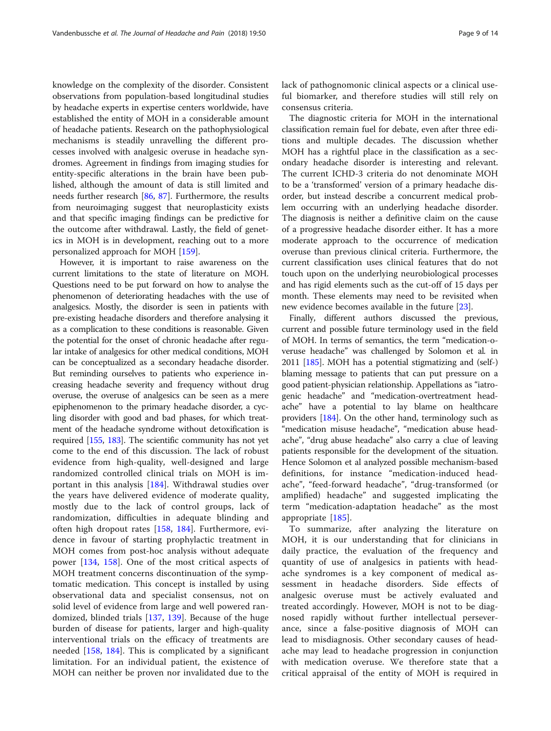knowledge on the complexity of the disorder. Consistent observations from population-based longitudinal studies by headache experts in expertise centers worldwide, have established the entity of MOH in a considerable amount of headache patients. Research on the pathophysiological mechanisms is steadily unravelling the different processes involved with analgesic overuse in headache syndromes. Agreement in findings from imaging studies for entity-specific alterations in the brain have been published, although the amount of data is still limited and needs further research [[86,](#page-11-0) [87](#page-11-0)]. Furthermore, the results from neuroimaging suggest that neuroplasticity exists and that specific imaging findings can be predictive for the outcome after withdrawal. Lastly, the field of genetics in MOH is in development, reaching out to a more personalized approach for MOH [\[159](#page-13-0)].

However, it is important to raise awareness on the current limitations to the state of literature on MOH. Questions need to be put forward on how to analyse the phenomenon of deteriorating headaches with the use of analgesics. Mostly, the disorder is seen in patients with pre-existing headache disorders and therefore analysing it as a complication to these conditions is reasonable. Given the potential for the onset of chronic headache after regular intake of analgesics for other medical conditions, MOH can be conceptualized as a secondary headache disorder. But reminding ourselves to patients who experience increasing headache severity and frequency without drug overuse, the overuse of analgesics can be seen as a mere epiphenomenon to the primary headache disorder, a cycling disorder with good and bad phases, for which treatment of the headache syndrome without detoxification is required [[155,](#page-13-0) [183\]](#page-13-0). The scientific community has not yet come to the end of this discussion. The lack of robust evidence from high-quality, well-designed and large randomized controlled clinical trials on MOH is important in this analysis [\[184](#page-13-0)]. Withdrawal studies over the years have delivered evidence of moderate quality, mostly due to the lack of control groups, lack of randomization, difficulties in adequate blinding and often high dropout rates [[158,](#page-13-0) [184](#page-13-0)]. Furthermore, evidence in favour of starting prophylactic treatment in MOH comes from post-hoc analysis without adequate power [\[134](#page-12-0), [158\]](#page-13-0). One of the most critical aspects of MOH treatment concerns discontinuation of the symptomatic medication. This concept is installed by using observational data and specialist consensus, not on solid level of evidence from large and well powered randomized, blinded trials [\[137](#page-12-0), [139](#page-12-0)]. Because of the huge burden of disease for patients, larger and high-quality interventional trials on the efficacy of treatments are needed [\[158](#page-13-0), [184](#page-13-0)]. This is complicated by a significant limitation. For an individual patient, the existence of MOH can neither be proven nor invalidated due to the lack of pathognomonic clinical aspects or a clinical useful biomarker, and therefore studies will still rely on consensus criteria.

The diagnostic criteria for MOH in the international classification remain fuel for debate, even after three editions and multiple decades. The discussion whether MOH has a rightful place in the classification as a secondary headache disorder is interesting and relevant. The current ICHD-3 criteria do not denominate MOH to be a 'transformed' version of a primary headache disorder, but instead describe a concurrent medical problem occurring with an underlying headache disorder. The diagnosis is neither a definitive claim on the cause of a progressive headache disorder either. It has a more moderate approach to the occurrence of medication overuse than previous clinical criteria. Furthermore, the current classification uses clinical features that do not touch upon on the underlying neurobiological processes and has rigid elements such as the cut-off of 15 days per month. These elements may need to be revisited when new evidence becomes available in the future [\[23](#page-10-0)].

Finally, different authors discussed the previous, current and possible future terminology used in the field of MOH. In terms of semantics, the term "medication-overuse headache" was challenged by Solomon et al. in 2011 [[185](#page-13-0)]. MOH has a potential stigmatizing and (self-) blaming message to patients that can put pressure on a good patient-physician relationship. Appellations as "iatrogenic headache" and "medication-overtreatment headache" have a potential to lay blame on healthcare providers [[184](#page-13-0)]. On the other hand, terminology such as "medication misuse headache", "medication abuse headache", "drug abuse headache" also carry a clue of leaving patients responsible for the development of the situation. Hence Solomon et al analyzed possible mechanism-based definitions, for instance "medication-induced headache", "feed-forward headache", "drug-transformed (or amplified) headache" and suggested implicating the term "medication-adaptation headache" as the most appropriate [[185\]](#page-13-0).

To summarize, after analyzing the literature on MOH, it is our understanding that for clinicians in daily practice, the evaluation of the frequency and quantity of use of analgesics in patients with headache syndromes is a key component of medical assessment in headache disorders. Side effects of analgesic overuse must be actively evaluated and treated accordingly. However, MOH is not to be diagnosed rapidly without further intellectual perseverance, since a false-positive diagnosis of MOH can lead to misdiagnosis. Other secondary causes of headache may lead to headache progression in conjunction with medication overuse. We therefore state that a critical appraisal of the entity of MOH is required in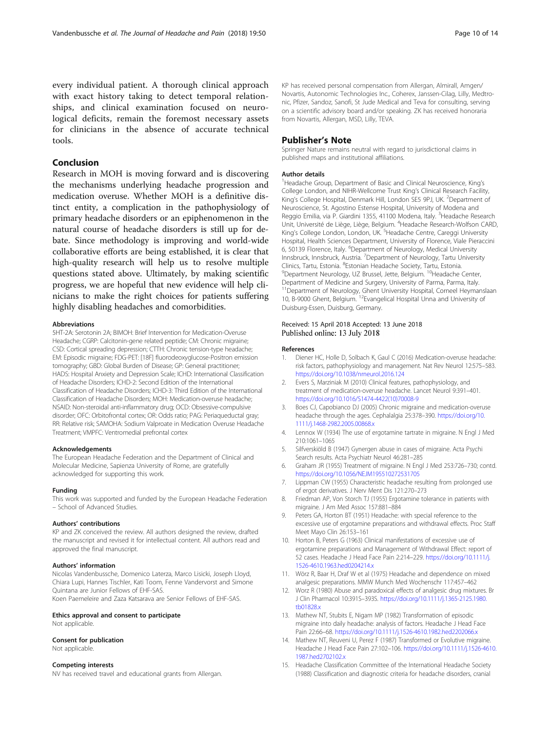<span id="page-9-0"></span>every individual patient. A thorough clinical approach with exact history taking to detect temporal relationships, and clinical examination focused on neurological deficits, remain the foremost necessary assets for clinicians in the absence of accurate technical tools.

## Conclusion

Research in MOH is moving forward and is discovering the mechanisms underlying headache progression and medication overuse. Whether MOH is a definitive distinct entity, a complication in the pathophysiology of primary headache disorders or an epiphenomenon in the natural course of headache disorders is still up for debate. Since methodology is improving and world-wide collaborative efforts are being established, it is clear that high-quality research will help us to resolve multiple questions stated above. Ultimately, by making scientific progress, we are hopeful that new evidence will help clinicians to make the right choices for patients suffering highly disabling headaches and comorbidities.

#### Abbreviations

5HT-2A: Serotonin 2A; BIMOH: Brief Intervention for Medication-Overuse Headache; CGRP: Calcitonin-gene related peptide; CM: Chronic migraine; CSD: Cortical spreading depression; CTTH: Chronic tension-type headache; EM: Episodic migraine; FDG-PET: [18F] fluorodeoxyglucose-Positron emission tomography; GBD: Global Burden of Disease; GP: General practitioner; HADS: Hospital Anxiety and Depression Scale; ICHD: International Classification of Headache Disorders; ICHD-2: Second Edition of the International Classification of Headache Disorders; ICHD-3: Third Edition of the International Classification of Headache Disorders; MOH: Medication-overuse headache; NSAID: Non-steroidal anti-inflammatory drug; OCD: Obsessive-compulsive disorder; OFC: Orbitofrontal cortex; OR: Odds ratio; PAG: Periaqueductal gray; RR: Relative risk; SAMOHA: Sodium Valproate in Medication Overuse Headache Treatment; VMPFC: Ventromedial prefrontal cortex

#### Acknowledgements

The European Headache Federation and the Department of Clinical and Molecular Medicine, Sapienza University of Rome, are gratefully acknowledged for supporting this work.

#### Funding

This work was supported and funded by the European Headache Federation – School of Advanced Studies.

#### Authors' contributions

KP and ZK conceived the review. All authors designed the review, drafted the manuscript and revised it for intellectual content. All authors read and approved the final manuscript.

#### Authors' information

Nicolas Vandenbussche, Domenico Laterza, Marco Lisicki, Joseph Lloyd, Chiara Lupi, Hannes Tischler, Kati Toom, Fenne Vandervorst and Simone Quintana are Junior Fellows of EHF-SAS. Koen Paemeleire and Zaza Katsarava are Senior Fellows of EHF-SAS.

#### Ethics approval and consent to participate

Not applicable.

#### Consent for publication

Not applicable.

## Competing interests

NV has received travel and educational grants from Allergan.

KP has received personal compensation from Allergan, Almirall, Amgen/ Novartis, Autonomic Technologies Inc., Coherex, Janssen-Cilag, Lilly, Medtronic, Pfizer, Sandoz, Sanofi, St Jude Medical and Teva for consulting, serving on a scientific advisory board and/or speaking. ZK has received honoraria from Novartis, Allergan, MSD, Lilly, TEVA.

#### Publisher's Note

Springer Nature remains neutral with regard to jurisdictional claims in published maps and institutional affiliations.

#### Author details

<sup>1</sup>Headache Group, Department of Basic and Clinical Neuroscience, King's College London, and NIHR-Wellcome Trust King's Clinical Research Facility, King's College Hospital, Denmark Hill, London SE5 9PJ, UK. <sup>2</sup>Department of Neuroscience, St. Agostino Estense Hospital, University of Modena and Reggio Emilia, via P. Giardini 1355, 41100 Modena, Italy. <sup>3</sup>Headache Research Unit, Université de Liège, Liège, Belgium. <sup>4</sup>Headache Research-Wolfson CARD King's College London, London, UK.<sup>5</sup> Headache Centre, Careggi University Hospital, Health Sciences Department, University of Florence, Viale Pieraccini 6, 50139 Florence, Italy. <sup>6</sup>Department of Neurology, Medical University Innsbruck, Innsbruck, Austria. <sup>7</sup> Department of Neurology, Tartu University Clinics, Tartu, Estonia. <sup>8</sup>Estonian Headache Society, Tartu, Estonia. Clinics, Tartu, Estonia. <sup>8</sup>Estonian Headache Society, Tartu, Estonia.<br><sup>9</sup>Department Neurology, UZ Brussel, Jette, Belgium. <sup>10</sup>Headache Center, Department of Medicine and Surgery, University of Parma, Parma, Italy. <sup>11</sup>Department of Neurology, Ghent University Hospital, Corneel Heymanslaan 10, B-9000 Ghent, Belgium. 12Evangelical Hospital Unna and University of Duisburg-Essen, Duisburg, Germany.

## Received: 15 April 2018 Accepted: 13 June 2018 Published online: 13 July 2018

#### References

- 1. Diener HC, Holle D, Solbach K, Gaul C (2016) Medication-overuse headache: risk factors, pathophysiology and management. Nat Rev Neurol 12:575–583. <https://doi.org/10.1038/nrneurol.2016.124>
- 2. Evers S, Marziniak M (2010) Clinical features, pathophysiology, and treatment of medication-overuse headache. Lancet Neurol 9:391–401. [https://doi.org/10.1016/S1474-4422\(10\)70008-9](https://doi.org/10.1016/S1474-4422(10)70008-9)
- 3. Boes CJ, Capobianco DJ (2005) Chronic migraine and medication-overuse headache through the ages. Cephalalgia 25:378–390. [https://doi.org/10.](https://doi.org/10.1111/j.1468-2982.2005.00868.x) [1111/j.1468-2982.2005.00868.x](https://doi.org/10.1111/j.1468-2982.2005.00868.x)
- 4. Lennox W (1934) The use of ergotamine tartrate in migraine. N Engl J Med 210:1061–1065
- 5. Silfverskiöld B (1947) Gynergen abuse in cases of migraine. Acta Psychi Search results. Acta Psychiatr Neurol 46:281–285
- 6. Graham JR (1955) Treatment of migraine. N Engl J Med 253:726–730; contd. <https://doi.org/10.1056/NEJM195510272531705>
- 7. Lippman CW (1955) Characteristic headache resulting from prolonged use of ergot derivatives. J Nerv Ment Dis 121:270–273
- 8. Friedman AP, Von Storch TJ (1955) Ergotamine tolerance in patients with migraine. J Am Med Assoc 157:881–884
- 9. Peters GA, Horton BT (1951) Headache: with special reference to the excessive use of ergotamine preparations and withdrawal effects. Proc Staff Meet Mayo Clin 26:153–161
- 10. Horton B, Peters G (1963) Clinical manifestations of excessive use of ergotamine preparations and Management of Withdrawal Effect: report of 52 cases. Headache J Head Face Pain 2:214–229. [https://doi.org/10.1111/j.](https://doi.org/10.1111/j.1526-4610.1963.hed0204214.x) [1526-4610.1963.hed0204214.x](https://doi.org/10.1111/j.1526-4610.1963.hed0204214.x)
- 11. Wörz R, Baar H, Draf W et al (1975) Headache and dependence on mixed analgesic preparations. MMW Munch Med Wochenschr 117:457–462
- 12. Worz R (1980) Abuse and paradoxical effects of analgesic drug mixtures. Br J Clin Pharmacol 10:391S–393S. [https://doi.org/10.1111/j.1365-2125.1980.](https://doi.org/10.1111/j.1365-2125.1980.tb01828.x) [tb01828.x](https://doi.org/10.1111/j.1365-2125.1980.tb01828.x)
- 13. Mathew NT, Stubits E, Nigam MP (1982) Transformation of episodic migraine into daily headache: analysis of factors. Headache J Head Face Pain 22:66–68. <https://doi.org/10.1111/j.1526-4610.1982.hed2202066.x>
- 14. Mathew NT, Reuveni U, Perez F (1987) Transformed or Evolutive migraine. Headache J Head Face Pain 27:102–106. [https://doi.org/10.1111/j.1526-4610.](https://doi.org/10.1111/j.1526-4610.1987.hed2702102.x) [1987.hed2702102.x](https://doi.org/10.1111/j.1526-4610.1987.hed2702102.x)
- 15. Headache Classification Committee of the International Headache Society (1988) Classification and diagnostic criteria for headache disorders, cranial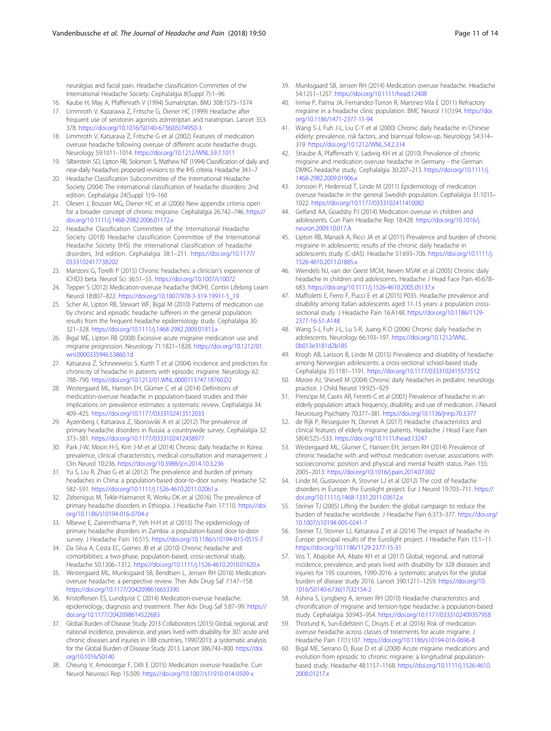<span id="page-10-0"></span>neuralgias and facial pain. Headache classification Committee of the International Headache Society. Cephalalgia 8(Suppl 7):1–96

- 16. Kaube H, May A, Pfaffenrath V (1994) Sumatriptan. BMJ 308:1573–1574 17. Limmroth V, Kazarawa Z, Fritsche G, Diener HC (1999) Headache after frequent use of serotonin agonists zolmitriptan and naratriptan. Lancet 353: 378. [https://doi.org/10.1016/S0140-6736\(05\)74950-3](https://doi.org/10.1016/S0140-6736(05)74950-3)
- 18. Limmroth V, Katsarava Z, Fritsche G et al (2002) Features of medication overuse headache following overuse of different acute headache drugs. Neurology 59:1011–1014. <https://doi.org/10.1212/WNL.59.7.1011>
- 19. Silberstein SD, Lipton RB, Solomon S, Mathew NT (1994) Classification of daily and near-daily headaches: proposed revisions to the IHS criteria. Headache 34:1–7
- 20. Headache Classification Subcommittee of the International Headache Society (2004) The international classification of headache disorders: 2nd edition. Cephalalgia 24(Suppl 1):9–160
- 21. Olesen J, Bousser MG, Diener HC et al (2006) New appendix criteria open for a broader concept of chronic migraine. Cephalalgia 26:742–746. [https://](https://doi.org/10.1111/j.1468-2982.2006.01172.x) [doi.org/10.1111/j.1468-2982.2006.01172.x](https://doi.org/10.1111/j.1468-2982.2006.01172.x)
- 22. Headache Classification Committee of the International Headache Society (2018) Headache classification Committee of the International Headache Society (IHS) the international classification of headache disorders, 3rd edition. Cephalalgia 38:1–211. [https://doi.org/10.1177/](https://doi.org/10.1177/0333102417738202) [0333102417738202](https://doi.org/10.1177/0333102417738202)
- 23. Manzoni G, Torelli P (2015) Chronic headaches: a clinician's experience of ICHD3 beta. Neurol Sci 36:51–55. <https://doi.org/10.1007/s10072>
- 24. Tepper S (2012) Medication-overuse headache (MOH). Contin Lifelong Learn Neurol 18:807–822. [https://doi.org/10.1007/978-3-319-19911-5\\_19](https://doi.org/10.1007/978-3-319-19911-5_19)
- 25. Scher AI, Lipton RB, Stewart WF, Bigal M (2010) Patterns of medication use by chronic and episodic headache sufferers in the general population: results from the frequent headache epidemiology study. Cephalalgia 30: 321–328. <https://doi.org/10.1111/j.1468-2982.2009.01913.x>
- 26. Bigal ME, Lipton RB (2008) Excessive acute migraine medication use and migraine progression. Neurology 71:1821–1828. [https://doi.org/10.1212/01.](https://doi.org/10.1212/01.wnl.0000335946.53860.1d) [wnl.0000335946.53860.1d](https://doi.org/10.1212/01.wnl.0000335946.53860.1d)
- 27. Katsarava Z, Schneeweiss S, Kurth T et al (2004) Incidence and predictors for chronicity of headache in patients with episodic migraine. Neurology 62: 788–790. <https://doi.org/10.1212/01.WNL.0000113747.18760.D2>
- 28. Westergaard ML, Hansen EH, Glümer C et al (2014) Definitions of medication-overuse headache in population-based studies and their implications on prevalence estimates: a systematic review. Cephalalgia 34: 409–425. <https://doi.org/10.1177/0333102413512033>
- 29. Ayzenberg I, Katsarava Z, Sborowski A et al (2012) The prevalence of primary headache disorders in Russia: a countrywide survey. Cephalalgia 32: 373–381. <https://doi.org/10.1177/0333102412438977>
- 30. Park J-W, Moon H-S, Kim J-M et al (2014) Chronic daily headache in Korea: prevalence, clinical characteristics, medical consultation and management. J Clin Neurol 10:236. <https://doi.org/10.3988/jcn.2014.10.3.236>
- 31. Yu S, Liu R, Zhao G et al (2012) The prevalence and burden of primary headaches in China: a population-based door-to-door survey. Headache 52: 582–591. <https://doi.org/10.1111/j.1526-4610.2011.02061.x>
- 32. Zebenigus M, Tekle-Haimanot R, Worku DK et al (2016) The prevalence of primary headache disorders in Ethiopia. J Headache Pain 17:110. [https://doi.](https://doi.org/10.1186/s10194-016-0704-z) [org/10.1186/s10194-016-0704-z](https://doi.org/10.1186/s10194-016-0704-z)
- 33. Mbewe E, Zairemthiama P, Yeh H-H et al (2015) The epidemiology of primary headache disorders in Zambia: a population-based door-to-door survey. J Headache Pain 16:515. <https://doi.org/10.1186/s10194-015-0515-7>
- 34. Da Silva A, Costa EC, Gomes JB et al (2010) Chronic headache and comorbibities: a two-phase, population-based, cross-sectional study. Headache 50:1306–1312. <https://doi.org/10.1111/j.1526-4610.2010.01620.x>
- 35. Westergaard ML, Munksgaard SB, Bendtsen L, Jensen RH (2016) Medicationoveruse headache: a perspective review. Ther Adv Drug Saf 7:147–158. <https://doi.org/10.1177/2042098616653390>
- 36. Kristoffersen ES, Lundqvist C (2014) Medication-overuse headache: epidemiology, diagnosis and treatment. Ther Adv Drug Saf 5:87–99. [https://](https://doi.org/10.1177/2042098614522683) [doi.org/10.1177/2042098614522683](https://doi.org/10.1177/2042098614522683)
- 37. Global Burden of Disease Study 2013 Collaborators (2015) Global, regional, and national incidence, prevalence, and years lived with disability for 301 acute and chronic diseases and injuries in 188 countries, 1990?2013: a systematic analysis for the Global Burden of Disease Study 2013. Lancet 386:743–800. [https://doi.](https://doi.org/10.1016/S0140) [org/10.1016/S0140](https://doi.org/10.1016/S0140)
- 38. Cheung V, Amoozegar F, Dilli E (2015) Medication overuse headache. Curr Neurol Neurosci Rep 15:509. <https://doi.org/10.1007/s11910-014-0509-x>
- 39. Munksgaard SB, Jensen RH (2014) Medication overuse headache. Headache 54:1251–1257. <https://doi.org/10.1111/head.12408>
- 40. Irimia P, Palma JA, Fernandez-Torron R, Martinez-Vila E (2011) Refractory migraine in a headache clinic population. BMC Neurol 11(1):94. [https://doi.](https://doi.org/10.1186/1471-2377-11-94) [org/10.1186/1471-2377-11-94](https://doi.org/10.1186/1471-2377-11-94)
- 41. Wang S-J, Fuh J-L, Liu C-Y et al (2000) Chronic daily headache in Chinese elderly: prevalence, risk factors, and biannual follow-up. Neurology 54:314– 319. <https://doi.org/10.1212/WNL.54.2.314>
- 42. Straube A, Pfaffenrath V, Ladwig KH et al (2010) Prevalence of chronic migraine and medication overuse headache in Germany - the German DMKG headache study. Cephalalgia 30:207–213. [https://doi.org/10.1111/j.](https://doi.org/10.1111/j.1468-2982.2009.01906.x) [1468-2982.2009.01906.x](https://doi.org/10.1111/j.1468-2982.2009.01906.x)
- 43. Jonsson P, Hedenrud T, Linde M (2011) Epidemiology of medication overuse headache in the general Swedish population. Cephalalgia 31:1015– 1022. <https://doi.org/10.1177/0333102411410082>
- 44. Gelfand AA, Goadsby PJ (2014) Medication overuse in children and adolescents. Curr Pain Headache Rep 18:428. [https://doi.org/10.1016/j.](https://doi.org/10.1016/j.neuron.2009.10.017.A) [neuron.2009.10.017.A](https://doi.org/10.1016/j.neuron.2009.10.017.A)
- 45. Lipton RB, Manack A, Ricci JA et al (2011) Prevalence and burden of chronic migraine in adolescents: results of the chronic daily headache in adolescents study (C-dAS). Headache 51:693–706. [https://doi.org/10.1111/j.](https://doi.org/10.1111/j.1526-4610.2011.01885.x) [1526-4610.2011.01885.x](https://doi.org/10.1111/j.1526-4610.2011.01885.x)
- 46. Wiendels NJ, van der Geest MCM, Neven MSAK et al (2005) Chronic daily headache in children and adolescents. Headache J Head Face Pain 45:678– 683. <https://doi.org/10.1111/j.1526-4610.2005.05137.x>
- 47. Maffioletti E, Ferro F, Pucci E et al (2015) P035. Headache prevalence and disability among Italian adolescents aged 11-15 years: a population crosssectional study. J Headache Pain 16:A148. [https://doi.org/10.1186/1129-](https://doi.org/10.1186/1129-2377-16-S1-A148) [2377-16-S1-A148](https://doi.org/10.1186/1129-2377-16-S1-A148)
- 48. Wang S-J, Fuh J-L, Lu S-R, Juang K-D (2006) Chronic daily headache in adolescents. Neurology 66:193–197. [https://doi.org/10.1212/WNL.](https://doi.org/10.1212/WNL.0b013e3181d2b185) [0b013e3181d2b185](https://doi.org/10.1212/WNL.0b013e3181d2b185)
- 49. Krogh AB, Larsson B, Linde M (2015) Prevalence and disability of headache among Norwegian adolescents: a cross-sectional school-based study. Cephalalgia 35:1181–1191. <https://doi.org/10.1177/0333102415573512>
- 50. Moore AJ, Shevell M (2004) Chronic daily headaches in pediatric neurology practice. J Child Neurol 19:925–929
- 51. Prencipe M, Casini AR, Ferretti C et al (2001) Prevalence of headache in an elderly population: attack frequency, disability, and use of medication. J Neurol Neurosurg Psychiatry 70:377–381. <https://doi.org/10.1136/jnnp.70.3.377>
- 52. de Rijk P, Resseguier N, Donnet A (2017) Headache characteristics and clinical features of elderly migraine patients. Headache J Head Face Pain 58(4):525–533. <https://doi.org/10.1111/head.13247>
- 53. Westergaard ML, Glumer C, Hansen EH, Jensen RH (2014) Prevalence of chronic headache with and without medication overuse: associations with socioeconomic position and physical and mental health status. Pain 155: 2005–2013. <https://doi.org/10.1016/j.pain.2014.07.002>
- 54. Linde M, Gustavsson A, Stovner LJ et al (2012) The cost of headache disorders in Europe: the Eurolight project. Eur J Neurol 19:703–711. [https://](https://doi.org/10.1111/j.1468-1331.2011.03612.x) [doi.org/10.1111/j.1468-1331.2011.03612.x](https://doi.org/10.1111/j.1468-1331.2011.03612.x)
- 55. Steiner TJ (2005) Lifting the burden: the global campaign to reduce the burden of headache worldwide. J Headache Pain 6:373–377. [https://doi.org/](https://doi.org/10.1007/s10194-005-0241-7) [10.1007/s10194-005-0241-7](https://doi.org/10.1007/s10194-005-0241-7)
- 56. Steiner TJ, Stovner LJ, Katsarava Z et al (2014) The impact of headache in Europe: principal results of the Eurolight project. J Headache Pain 15:1–11. <https://doi.org/10.1186/1129-2377-15-31>
- 57. Vos T, Abajobir AA, Abate KH et al (2017) Global, regional, and national incidence, prevalence, and years lived with disability for 328 diseases and injuries for 195 countries, 1990-2016: a systematic analysis for the global burden of disease study 2016. Lancet 390:1211–1259. [https://doi.org/10.](https://doi.org/10.1016/S0140-6736(17)32154-2) [1016/S0140-6736\(17\)32154-2](https://doi.org/10.1016/S0140-6736(17)32154-2)
- 58. Ashina S, Lyngberg A, Jensen RH (2010) Headache characteristics and chronification of migraine and tension-type headache: a population-based study. Cephalalgia 30:943–954. <https://doi.org/10.1177/0333102409357958>
- Thorlund K, Sun-Edelstein C, Druyts E et al (2016) Risk of medication overuse headache across classes of treatments for acute migraine. J Headache Pain 17(1):107. <https://doi.org/10.1186/s10194-016-0696-8>
- 60. Bigal ME, Serrano D, Buse D et al (2008) Acute migraine medications and evolution from episodic to chronic migraine: a longitudinal populationbased study. Headache 48:1157–1168. [https://doi.org/10.1111/j.1526-4610.](https://doi.org/10.1111/j.1526-4610.2008.01217.x) [2008.01217.x](https://doi.org/10.1111/j.1526-4610.2008.01217.x)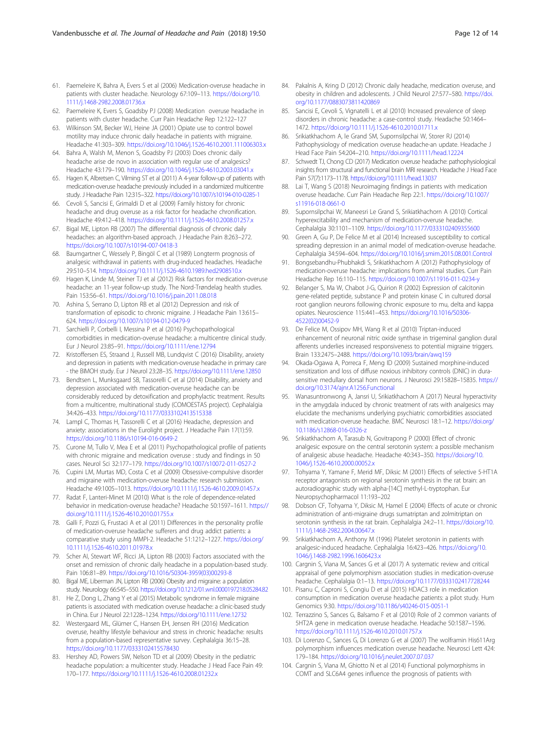- <span id="page-11-0"></span>61. Paemeleire K, Bahra A, Evers S et al (2006) Medication-overuse headache in patients with cluster headache. Neurology 67:109–113. [https://doi.org/10.](https://doi.org/10.1111/j.1468-2982.2008.01736.x) [1111/j.1468-2982.2008.01736.x](https://doi.org/10.1111/j.1468-2982.2008.01736.x)
- 62. Paemeleire K, Evers S, Goadsby PJ (2008) Medication overuse headache in patients with cluster headache. Curr Pain Headache Rep 12:122–127
- 63. Wilkinson SM, Becker WJ, Heine JA (2001) Opiate use to control bowel motility may induce chronic daily headache in patients with migraine. Headache 41:303–309. <https://doi.org/10.1046/j.1526-4610.2001.111006303.x>
- 64. Bahra A, Walsh M, Menon S, Goadsby PJ (2003) Does chronic daily headache arise de novo in association with regular use of analgesics? Headache 43:179–190. <https://doi.org/10.1046/j.1526-4610.2003.03041.x>
- 65. Hagen K, Albretsen C, Vilming ST et al (2011) A 4-year follow-up of patients with medication-overuse headache previously included in a randomized multicentre study. J Headache Pain 12:315–322. <https://doi.org/10.1007/s10194-010-0285-1>
- 66. Cevoli S, Sancisi E, Grimaldi D et al (2009) Family history for chronic headache and drug overuse as a risk factor for headache chronification. Headache 49:412–418. <https://doi.org/10.1111/j.1526-4610.2008.01257.x>
- 67. Bigal ME, Lipton RB (2007) The differential diagnosis of chronic daily headaches: an algorithm-based approach. J Headache Pain 8:263–272. <https://doi.org/10.1007/s10194-007-0418-3>
- 68. Baumgartner C, Wessely P, Bingöl C et al (1989) Longterm prognosis of analgesic withdrawal in patients with drug-induced headaches. Headache 29:510–514. <https://doi.org/10.1111/j.1526-4610.1989.hed2908510.x>
- 69. Hagen K, Linde M, Steiner TJ et al (2012) Risk factors for medication-overuse headache: an 11-year follow-up study. The Nord-Trøndelag health studies. Pain 153:56–61. <https://doi.org/10.1016/j.pain.2011.08.018>
- 70. Ashina S, Serrano D, Lipton RB et al (2012) Depression and risk of transformation of episodic to chronic migraine. J Headache Pain 13:615– 624. <https://doi.org/10.1007/s10194-012-0479-9>
- 71. Sarchielli P, Corbelli I, Messina P et al (2016) Psychopathological comorbidities in medication-overuse headache: a multicentre clinical study. Eur J Neurol 23:85–91. <https://doi.org/10.1111/ene.12794>
- 72. Kristoffersen ES, Straand J, Russell MB, Lundqvist C (2016) Disability, anxiety and depression in patients with medication-overuse headache in primary care - the BIMOH study. Eur J Neurol 23:28–35. <https://doi.org/10.1111/ene.12850>
- 73. Bendtsen L, Munksgaard SB, Tassorelli C et al (2014) Disability, anxiety and depression associated with medication-overuse headache can be considerably reduced by detoxification and prophylactic treatment. Results from a multicentre, multinational study (COMOESTAS project). Cephalalgia 34:426–433. <https://doi.org/10.1177/0333102413515338>
- 74. Lampl C, Thomas H, Tassorelli C et al (2016) Headache, depression and anxiety: associations in the Eurolight project. J Headache Pain 17(1):59. <https://doi.org/10.1186/s10194-016-0649-2>
- 75. Curone M, Tullo V, Mea E et al (2011) Psychopathological profile of patients with chronic migraine and medication overuse : study and findings in 50 cases. Neurol Sci 32:177–179. <https://doi.org/10.1007/s10072-011-0527-2>
- 76. Cupini LM, Murtas MD, Costa C et al (2009) Obsessive-compulsive disorder and migraine with medication-overuse headache: research submission. Headache 49:1005–1013. <https://doi.org/10.1111/j.1526-4610.2009.01457.x>
- 77. Radat F, Lanteri-Minet M (2010) What is the role of dependence-related behavior in medication-overuse headache? Headache 50:1597–1611. [https://](https://doi.org/10.1111/j.1526-4610.2010.01755.x) [doi.org/10.1111/j.1526-4610.2010.01755.x](https://doi.org/10.1111/j.1526-4610.2010.01755.x)
- 78. Galli F, Pozzi G, Frustaci A et al (2011) Differences in the personality profile of medication-overuse headache sufferers and drug addict patients: a comparative study using MMPI-2. Headache 51:1212–1227. [https://doi.org/](https://doi.org/10.1111/j.1526-4610.2011.01978.x) [10.1111/j.1526-4610.2011.01978.x](https://doi.org/10.1111/j.1526-4610.2011.01978.x)
- 79. Scher AI, Stewart WF, Ricci JA, Lipton RB (2003) Factors associated with the onset and remission of chronic daily headache in a population-based study. Pain 106:81–89. [https://doi.org/10.1016/S0304-3959\(03\)00293-8](https://doi.org/10.1016/S0304-3959(03)00293-8)
- 80. Bigal ME, Liberman JN, Lipton RB (2006) Obesity and migraine: a population study. Neurology 66:545–550. <https://doi.org/10.1212/01.wnl.0000197218.05284.82>
- 81. He Z, Dong L, Zhang Y et al (2015) Metabolic syndrome in female migraine patients is associated with medication overuse headache: a clinic-based study in China. Eur J Neurol 22:1228–1234. <https://doi.org/10.1111/ene.12732>
- 82. Westergaard ML, Glümer C, Hansen EH, Jensen RH (2016) Medication overuse, healthy lifestyle behaviour and stress in chronic headache: results from a population-based representative survey. Cephalalgia 36:15–28. <https://doi.org/10.1177/0333102415578430>
- 83. Hershey AD, Powers SW, Nelson TD et al (2009) Obesity in the pediatric headache population: a multicenter study. Headache J Head Face Pain 49: 170–177. <https://doi.org/10.1111/j.1526-4610.2008.01232.x>
- 84. Pakalnis A, Kring D (2012) Chronic daily headache, medication overuse, and obesity in children and adolescents. J Child Neurol 27:577–580. [https://doi.](https://doi.org/10.1177/0883073811420869) [org/10.1177/0883073811420869](https://doi.org/10.1177/0883073811420869)
- 85. Sancisi E, Cevoli S, Vignatelli L et al (2010) Increased prevalence of sleep disorders in chronic headache: a case-control study. Headache 50:1464– 1472. <https://doi.org/10.1111/j.1526-4610.2010.01711.x>
- Srikiatkhachorn A, le Grand SM, Supornsilpchai W, Storer RJ (2014) Pathophysiology of medication overuse headache-an update. Headache J Head Face Pain 54:204–210. <https://doi.org/10.1111/head.12224>
- 87. Schwedt TJ, Chong CD (2017) Medication overuse headache: pathophysiological insights from structural and functional brain MRI research. Headache J Head Face Pain 57(7):1173–1178. <https://doi.org/10.1111/head.13037>
- 88. Lai T, Wang S (2018) Neuroimaging findings in patients with medication overuse headache. Curr Pain Headache Rep 22:1. [https://doi.org/10.1007/](https://doi.org/10.1007/s11916-018-0661-0) [s11916-018-0661-0](https://doi.org/10.1007/s11916-018-0661-0)
- Supornsilpchai W, Maneesri Le Grand S, Srikiatkhachorn A (2010) Cortical hyperexcitability and mechanism of medication-overuse headache. Cephalalgia 30:1101–1109. <https://doi.org/10.1177/0333102409355600>
- 90. Green A, Gu P, De Felice M et al (2014) Increased susceptibility to cortical spreading depression in an animal model of medication-overuse headache. Cephalalgia 34:594–604. <https://doi.org/10.1016/j.smim.2015.08.001.Control>
- 91. Bongsebandhu-Phubhakdi S, Srikiatkhachorn A (2012) Pathophysiology of medication-overuse headache: implications from animal studies. Curr Pain Headache Rep 16:110–115. <https://doi.org/10.1007/s11916-011-0234-y>
- 92. Belanger S, Ma W, Chabot J-G, Quirion R (2002) Expression of calcitonin gene-related peptide, substance P and protein kinase C in cultured dorsal root ganglion neurons following chronic exposure to mu, delta and kappa opiates. Neuroscience 115:441–453. [https://doi.org/10.1016/S0306-](https://doi.org/10.1016/S0306-4522(02)00452-9) [4522\(02\)00452-9](https://doi.org/10.1016/S0306-4522(02)00452-9)
- 93. De Felice M, Ossipov MH, Wang R et al (2010) Triptan-induced enhancement of neuronal nitric oxide synthase in trigeminal ganglion dural afferents underlies increased responsiveness to potential migraine triggers. Brain 133:2475–2488. <https://doi.org/10.1093/brain/awq159>
- 94. Okada-Ogawa A, Porreca F, Meng ID (2009) Sustained morphine-induced sensitization and loss of diffuse noxious inhibitory controls (DNIC) in durasensitive medullary dorsal horn neurons. J Neurosci 29:15828–15835. [https://](https://doi.org/10.3174/ajnr.A1256.Functional) [doi.org/10.3174/ajnr.A1256.Functional](https://doi.org/10.3174/ajnr.A1256.Functional)
- 95. Wanasuntronwong A, Jansri U, Srikiatkhachorn A (2017) Neural hyperactivity in the amygdala induced by chronic treatment of rats with analgesics may elucidate the mechanisms underlying psychiatric comorbidities associated with medication-overuse headache. BMC Neurosci 18:1–12. [https://doi.org/](https://doi.org/10.1186/s12868-016-0326-z) [10.1186/s12868-016-0326-z](https://doi.org/10.1186/s12868-016-0326-z)
- 96. Srikiatkhachorn A, Tarasub N, Govitrapong P (2000) Effect of chronic analgesic exposure on the central serotonin system: a possible mechanism of analgesic abuse headache. Headache 40:343–350. [https://doi.org/10.](https://doi.org/10.1046/j.1526-4610.2000.00052.x) [1046/j.1526-4610.2000.00052.x](https://doi.org/10.1046/j.1526-4610.2000.00052.x)
- 97. Tohyama Y, Yamane F, Merid MF, Diksic M (2001) Effects of selective 5-HT1A receptor antagonists on regional serotonin synthesis in the rat brain: an autoradiographic study with alpha-[14C] methyl-L-tryptophan. Eur Neuropsychopharmacol 11:193–202
- 98. Dobson CF, Tohyama Y, Diksic M, Hamel E (2004) Effects of acute or chronic administration of anti-migraine drugs sumatriptan and zolmitriptan on serotonin synthesis in the rat brain. Cephalalgia 24:2–11. [https://doi.org/10.](https://doi.org/10.1111/j.1468-2982.2004.00647.x) [1111/j.1468-2982.2004.00647.x](https://doi.org/10.1111/j.1468-2982.2004.00647.x)
- 99. Srikiatkhachorn A, Anthony M (1996) Platelet serotonin in patients with analgesic-induced headache. Cephalalgia 16:423–426. [https://doi.org/10.](https://doi.org/10.1046/j.1468-2982.1996.1606423.x) [1046/j.1468-2982.1996.1606423.x](https://doi.org/10.1046/j.1468-2982.1996.1606423.x)
- 100. Cargnin S, Viana M, Sances G et al (2017) A systematic review and critical appraisal of gene polymorphism association studies in medication-overuse headache. Cephalalgia 0:1–13. <https://doi.org/10.1177/0333102417728244>
- 101. Pisanu C, Caproni S, Congiu D et al (2015) HDAC3 role in medication consumption in medication overuse headache patients: a pilot study. Hum Genomics 9:30. <https://doi.org/10.1186/s40246-015-0051-1>
- 102. Terrazzino S, Sances G, Balsamo F et al (2010) Role of 2 common variants of 5HT2A gene in medication overuse headache. Headache 50:1587–1596. <https://doi.org/10.1111/j.1526-4610.2010.01757.x>
- 103. Di Lorenzo C, Sances G, Di Lorenzo G et al (2007) The wolframin His611Arg polymorphism influences medication overuse headache. Neurosci Lett 424: 179–184. <https://doi.org/10.1016/j.neulet.2007.07.037>
- 104. Cargnin S, Viana M, Ghiotto N et al (2014) Functional polymorphisms in COMT and SLC6A4 genes influence the prognosis of patients with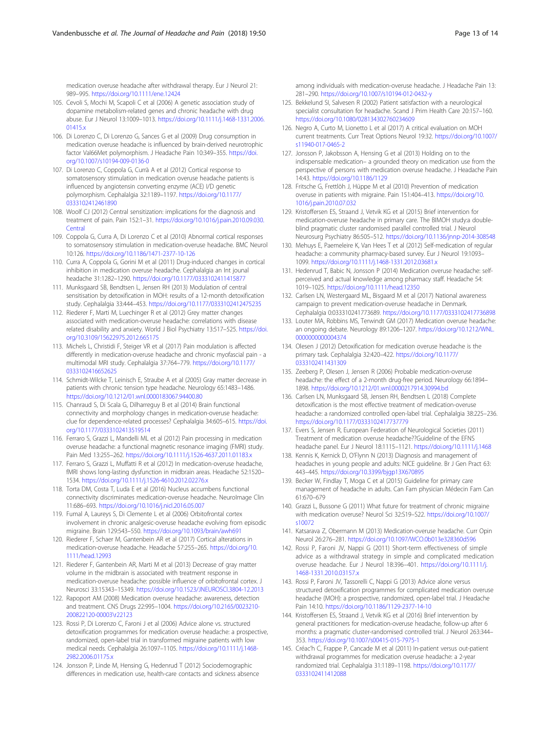<span id="page-12-0"></span>medication overuse headache after withdrawal therapy. Eur J Neurol 21: 989–995. <https://doi.org/10.1111/ene.12424>

- 105. Cevoli S, Mochi M, Scapoli C et al (2006) A genetic association study of dopamine metabolism-related genes and chronic headache with drug abuse. Eur J Neurol 13:1009–1013. [https://doi.org/10.1111/j.1468-1331.2006.](https://doi.org/10.1111/j.1468-1331.2006.01415.x) [01415.x](https://doi.org/10.1111/j.1468-1331.2006.01415.x)
- 106. Di Lorenzo C, Di Lorenzo G, Sances G et al (2009) Drug consumption in medication overuse headache is influenced by brain-derived neurotrophic factor Val66Met polymorphism. J Headache Pain 10:349–355. [https://doi.](https://doi.org/10.1007/s10194-009-0136-0) [org/10.1007/s10194-009-0136-0](https://doi.org/10.1007/s10194-009-0136-0)
- 107. Di Lorenzo C, Coppola G, Currà A et al (2012) Cortical response to somatosensory stimulation in medication overuse headache patients is influenced by angiotensin converting enzyme (ACE) I/D genetic polymorphism. Cephalalgia 32:1189–1197. [https://doi.org/10.1177/](https://doi.org/10.1177/0333102412461890) [0333102412461890](https://doi.org/10.1177/0333102412461890)
- 108. Woolf CJ (2012) Central sensitization: implications for the diagnosis and treatment of pain. Pain 152:1–31. [https://doi.org/10.1016/j.pain.2010.09.030.](https://doi.org/10.1016/j.pain.2010.09.030.Central) [Central](https://doi.org/10.1016/j.pain.2010.09.030.Central)
- 109. Coppola G, Curra A, Di Lorenzo C et al (2010) Abnormal cortical responses to somatosensory stimulation in medication-overuse headache. BMC Neurol 10:126. <https://doi.org/10.1186/1471-2377-10-126>
- 110. Curra A, Coppola G, Gorini M et al (2011) Drug-induced changes in cortical inhibition in medication overuse headache. Cephalalgia an Int jounal headache 31:1282–1290. <https://doi.org/10.1177/0333102411415877>
- 111. Munksgaard SB, Bendtsen L, Jensen RH (2013) Modulation of central sensitisation by detoxification in MOH: results of a 12-month detoxification study. Cephalalgia 33:444–453. <https://doi.org/10.1177/0333102412475235>
- 112. Riederer F, Marti M, Luechinger R et al (2012) Grey matter changes associated with medication-overuse headache: correlations with disease related disability and anxiety. World J Biol Psychiatry 13:517–525. [https://doi.](https://doi.org/10.3109/15622975.2012.665175) [org/10.3109/15622975.2012.665175](https://doi.org/10.3109/15622975.2012.665175)
- 113. Michels L, Christidi F, Steiger VR et al (2017) Pain modulation is affected differently in medication-overuse headache and chronic myofascial pain - a multimodal MRI study. Cephalalgia 37:764–779. [https://doi.org/10.1177/](https://doi.org/10.1177/0333102416652625) [0333102416652625](https://doi.org/10.1177/0333102416652625)
- 114. Schmidt-Wilcke T, Leinisch E, Straube A et al (2005) Gray matter decrease in patients with chronic tension type headache. Neurology 65:1483–1486. <https://doi.org/10.1212/01.wnl.0000183067.94400.80>
- 115. Chanraud S, Di Scala G, Dilharreguy B et al (2014) Brain functional connectivity and morphology changes in medication-overuse headache: clue for dependence-related processes? Cephalalgia 34:605–615. [https://doi.](https://doi.org/10.1177/0333102413519514) [org/10.1177/0333102413519514](https://doi.org/10.1177/0333102413519514)
- 116. Ferraro S, Grazzi L, Mandelli ML et al (2012) Pain processing in medication overuse headache: a functional magnetic resonance imaging (FMRI) study. Pain Med 13:255–262. <https://doi.org/10.1111/j.1526-4637.2011.01183.x>
- 117. Ferraro S, Grazzi L, Muffatti R et al (2012) In medication-overuse headache, fMRI shows long-lasting dysfunction in midbrain areas. Headache 52:1520– 1534. <https://doi.org/10.1111/j.1526-4610.2012.02276.x>
- 118. Torta DM, Costa T, Luda E et al (2016) Nucleus accumbens functional connectivity discriminates medication-overuse headache. NeuroImage Clin 11:686–693. <https://doi.org/10.1016/j.nicl.2016.05.007>
- 119. Fumal A, Laureys S, Di Clemente L et al (2006) Orbitofrontal cortex involvement in chronic analgesic-overuse headache evolving from episodic migraine. Brain 129:543–550. <https://doi.org/10.1093/brain/awh691>
- 120. Riederer F, Schaer M, Gantenbein AR et al (2017) Cortical alterations in medication-overuse headache. Headache 57:255–265. [https://doi.org/10.](https://doi.org/10.1111/head.12993) [1111/head.12993](https://doi.org/10.1111/head.12993)
- 121. Riederer F, Gantenbein AR, Marti M et al (2013) Decrease of gray matter volume in the midbrain is associated with treatment response in medication-overuse headache: possible influence of orbitofrontal cortex. J Neurosci 33:15343–15349. <https://doi.org/10.1523/JNEUROSCI.3804-12.2013>
- 122. Rapoport AM (2008) Medication overuse headache: awareness, detection and treatment. CNS Drugs 22:995–1004. [https://doi.org/10.2165/0023210-](https://doi.org/10.2165/0023210-200822120-00003r22123) [200822120-00003\r22123](https://doi.org/10.2165/0023210-200822120-00003r22123)
- 123. Rossi P, Di Lorenzo C, Faroni J et al (2006) Advice alone vs. structured detoxification programmes for medication overuse headache: a prospective, randomized, open-label trial in transformed migraine patients with low medical needs. Cephalalgia 26:1097–1105. [https://doi.org/10.1111/j.1468-](https://doi.org/10.1111/j.1468-2982.2006.01175.x) [2982.2006.01175.x](https://doi.org/10.1111/j.1468-2982.2006.01175.x)
- 124. Jonsson P, Linde M, Hensing G, Hedenrud T (2012) Sociodemographic differences in medication use, health-care contacts and sickness absence

among individuals with medication-overuse headache. J Headache Pain 13: 281–290. <https://doi.org/10.1007/s10194-012-0432-y>

- 125. Bekkelund SI, Salvesen R (2002) Patient satisfaction with a neurological specialist consultation for headache. Scand J Prim Health Care 20:157–160. <https://doi.org/10.1080/028134302760234609>
- 126. Negro A, Curto M, Lionetto L et al (2017) A critical evaluation on MOH current treatments. Curr Treat Options Neurol 19:32. [https://doi.org/10.1007/](https://doi.org/10.1007/s11940-017-0465-2) [s11940-017-0465-2](https://doi.org/10.1007/s11940-017-0465-2)
- 127. Jonsson P, Jakobsson A, Hensing G et al (2013) Holding on to the indispensable medication– a grounded theory on medication use from the perspective of persons with medication overuse headache. J Headache Pain 14:43. <https://doi.org/10.1186/1129>
- 128. Fritsche G, Frettlöh J, Hüppe M et al (2010) Prevention of medication overuse in patients with migraine. Pain 151:404–413. [https://doi.org/10.](https://doi.org/10.1016/j.pain.2010.07.032) [1016/j.pain.2010.07.032](https://doi.org/10.1016/j.pain.2010.07.032)
- 129. Kristoffersen ES, Straand J, Vetvik KG et al (2015) Brief intervention for medication-overuse headache in primary care. The BIMOH study:a doubleblind pragmatic cluster randomised parallel controlled trial. J Neurol Neurosurg Psychiatry 86:505–512. <https://doi.org/10.1136/jnnp-2014-308548>
- 130. Mehuys E, Paemeleire K, Van Hees T et al (2012) Self-medication of regular headache: a community pharmacy-based survey. Eur J Neurol 19:1093– 1099. <https://doi.org/10.1111/j.1468-1331.2012.03681.x>
- 131. Hedenrud T, Babic N, Jonsson P (2014) Medication overuse headache: selfperceived and actual knowledge among pharmacy staff. Headache 54: 1019–1025. <https://doi.org/10.1111/head.12350>
- 132. Carlsen LN, Westergaard ML, Bisgaard M et al (2017) National awareness campaign to prevent medication-overuse headache in Denmark. Cephalalgia 0:033310241773689. <https://doi.org/10.1177/0333102417736898>
- 133. Louter MA, Robbins MS, Terwindt GM (2017) Medication overuse headache: an ongoing debate. Neurology 89:1206–1207. [https://doi.org/10.1212/WNL.](https://doi.org/10.1212/WNL.0000000000004374) [0000000000004374](https://doi.org/10.1212/WNL.0000000000004374)
- 134. Olesen J (2012) Detoxification for medication overuse headache is the primary task. Cephalalgia 32:420–422. [https://doi.org/10.1177/](https://doi.org/10.1177/0333102411431309) [0333102411431309](https://doi.org/10.1177/0333102411431309)
- 135. Zeeberg P, Olesen J, Jensen R (2006) Probable medication-overuse headache: the effect of a 2-month drug-free period. Neurology 66:1894– 1898. <https://doi.org/10.1212/01.wnl.0000217914.30994.bd>
- 136. Carlsen LN, Munksgaard SB, Jensen RH, Bendtsen L (2018) Complete detoxification is the most effective treatment of medication-overuse headache: a randomized controlled open-label trial. Cephalalgia 38:225–236. <https://doi.org/10.1177/0333102417737779>
- 137. Evers S, Jensen R, European Federation of Neurological Societies (2011) Treatment of medication overuse headache??Guideline of the EFNS headache panel. Eur J Neurol 18:1115–1121. <https://doi.org/10.1111/j.1468>
- 138. Kennis K, Kernick D, O'Flynn N (2013) Diagnosis and management of headaches in young people and adults: NICE guideline. Br J Gen Pract 63: 443–445. <https://doi.org/10.3399/bjgp13X670895>
- 139. Becker W, Findlay T, Moga C et al (2015) Guideline for primary care management of headache in adults. Can Fam physician Médecin Fam Can 61:670–679
- 140. Grazzi L, Bussone G (2011) What future for treatment of chronic migraine with medication overuse? Neurol Sci 32:S19–S22. [https://doi.org/10.1007/](https://doi.org/10.1007/s10072) [s10072](https://doi.org/10.1007/s10072)
- 141. Katsarava Z, Obermann M (2013) Medication-overuse headache. Curr Opin Neurol 26:276–281. <https://doi.org/10.1097/WCO.0b013e328360d596>
- 142. Rossi P, Faroni JV, Nappi G (2011) Short-term effectiveness of simple advice as a withdrawal strategy in simple and complicated medication overuse headache. Eur J Neurol 18:396–401. [https://doi.org/10.1111/j.](https://doi.org/10.1111/j.1468-1331.2010.03157.x) [1468-1331.2010.03157.x](https://doi.org/10.1111/j.1468-1331.2010.03157.x)
- 143. Rossi P, Faroni JV, Tassorelli C, Nappi G (2013) Advice alone versus structured detoxification programmes for complicated medication overuse headache (MOH): a prospective, randomized, open-label trial. J Headache Pain 14:10. <https://doi.org/10.1186/1129-2377-14-10>
- 144. Kristoffersen ES, Straand J, Vetvik KG et al (2016) Brief intervention by general practitioners for medication-overuse headache, follow-up after 6 months: a pragmatic cluster-randomised controlled trial. J Neurol 263:344– 353. <https://doi.org/10.1007/s00415-015-7975-1>
- 145. Créac'h C, Frappe P, Cancade M et al (2011) In-patient versus out-patient withdrawal programmes for medication overuse headache: a 2-year randomized trial. Cephalalgia 31:1189–1198. [https://doi.org/10.1177/](https://doi.org/10.1177/0333102411412088) [0333102411412088](https://doi.org/10.1177/0333102411412088)